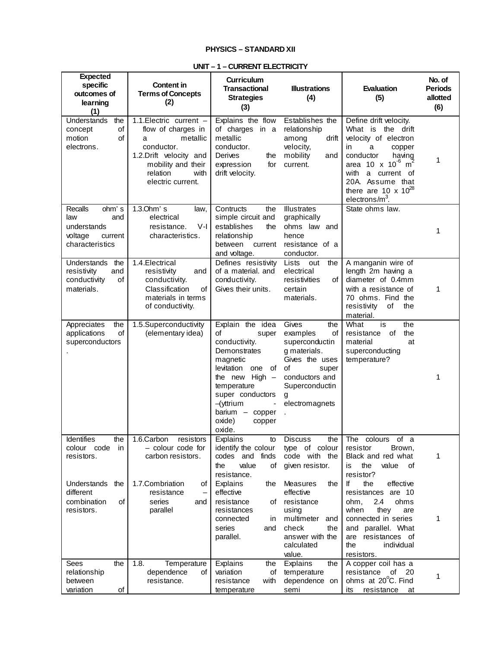## **PHYSICS – STANDARD XII**

| <b>Expected</b><br>specific<br>outcomes of<br>learning<br>(1)                          | Content in<br><b>Terms of Concepts</b><br>(2)                                                                                                                         | <b>Curriculum</b><br><b>Transactional</b><br><b>Strategies</b><br>(3)                                                                                                                                                                | <b>Illustrations</b><br>(4)                                                                                                                                        | Evaluation<br>(5)                                                                                                                                                                                                                                         | No. of<br><b>Periods</b><br>allotted<br>(6) |
|----------------------------------------------------------------------------------------|-----------------------------------------------------------------------------------------------------------------------------------------------------------------------|--------------------------------------------------------------------------------------------------------------------------------------------------------------------------------------------------------------------------------------|--------------------------------------------------------------------------------------------------------------------------------------------------------------------|-----------------------------------------------------------------------------------------------------------------------------------------------------------------------------------------------------------------------------------------------------------|---------------------------------------------|
| Understands<br>the<br>of<br>concept<br>motion<br><b>of</b><br>electrons.               | 1.1. Electric current -<br>flow of charges in<br>metallic<br>a<br>conductor.<br>1.2.Drift velocity and<br>mobility and their<br>relation<br>with<br>electric current. | Explains the flow<br>of charges in a<br>metallic<br>conductor.<br>Derives<br>the<br>for<br>expression<br>drift velocity.                                                                                                             | Establishes the<br>relationship<br>among<br>drift<br>velocity,<br>mobility<br>and<br>current.                                                                      | Define drift velocity.<br>What is the drift<br>velocity of electron<br>in<br>a<br>copper<br>conductor<br>having<br>area 10 x 10 <sup>-6</sup> m <sup>2</sup><br>with<br>a current of<br>20A. Assume that<br>there are 10 x $10^{28}$<br>electrons/ $m3$ . | 1                                           |
| ohm's<br>Recalls<br>and<br>law<br>understands<br>voltage<br>current<br>characteristics | 1.3.0hm's<br>law,<br>electrical<br>$V-I$<br>resistance.<br>characteristics.                                                                                           | Contructs<br>the<br>simple circuit and<br>establishes<br>the<br>relationship<br>between<br>current<br>and voltage.                                                                                                                   | <b>Illustrates</b><br>graphically<br>ohms law and<br>hence<br>resistance of a<br>conductor.                                                                        | State ohms law.                                                                                                                                                                                                                                           | 1                                           |
| the<br>Understands<br>resistivity<br>and<br>conductivity<br>of<br>materials.           | 1.4. Electrical<br>resistivity<br>and<br>conductivity.<br>Classification<br>of<br>materials in terms<br>of conductivity.                                              | Defines resistivity<br>of a material. and<br>conductivity.<br>Gives their units.                                                                                                                                                     | the<br>Lists<br>out<br>electrical<br>resistivities<br>of<br>certain<br>materials.                                                                                  | A manganin wire of<br>length 2m having a<br>diameter of 0.4mm<br>with a resistance of<br>70 ohms. Find the<br>resistivity<br>of<br>the<br>material.                                                                                                       | 1                                           |
| Appreciates<br>the<br>of<br>applications<br>superconductors                            | 1.5.Superconductivity<br>(elementary idea)                                                                                                                            | Explain the idea<br>of<br>super<br>conductivity.<br>Demonstrates<br>magnetic<br>levitation<br>one<br>of<br>the new High $-$<br>temperature<br>super conductors<br>$-\sqrt{y}$ trium<br>barium - copper<br>oxide)<br>copper<br>oxide. | Gives<br>the<br>examples<br>of<br>superconductin<br>g materials.<br>Gives the uses<br>οf<br>super<br>conductors and<br>Superconductin<br>g<br>electromagnets<br>ä, | What<br>is<br>the<br>the<br>resistance<br>of<br>material<br>at<br>superconducting<br>temperature?                                                                                                                                                         | 1                                           |
| <b>Identifies</b><br>the<br>colour code<br>in<br>resistors.                            | 1.6.Carbon<br>resistors<br>- colour code for<br>carbon resistors.                                                                                                     | Explains<br>to<br>identify the colour<br>codes and finds<br>the<br>value<br>οf<br>resistance.                                                                                                                                        | <b>Discuss</b><br>the<br>type of colour<br>code with the<br>given resistor.                                                                                        | The colours of a<br>resistor<br>Brown,<br>Black and red what<br>the<br>value<br>of<br>is<br>resistor?                                                                                                                                                     | 1                                           |
| Understands<br>the<br>different<br>combination<br>οf<br>resistors.<br>the              | 1.7.Combriation<br>οf<br>resistance<br>series<br>and<br>parallel                                                                                                      | Explains<br>the<br>effective<br>resistance<br>of<br>resistances<br>connected<br>in.<br>series<br>and<br>parallel.                                                                                                                    | Measures<br>the<br>effective<br>resistance<br>using<br>multimeter<br>and<br>check<br>the<br>answer with the<br>calculated<br>value.<br>the                         | the<br>lf<br>effective<br>resistances are 10<br>2.4<br>ohms<br>ohm,<br>when<br>they<br>are<br>connected in series<br>and parallel. What<br>resistances of<br>are<br>the<br>individual<br>resistors.                                                       | 1                                           |
| Sees<br>relationship<br>between<br>variation<br>οf                                     | 1.8.<br>Temperature<br>dependence<br>οf<br>resistance.                                                                                                                | Explains<br>the<br>variation<br>of<br>resistance<br>with<br>temperature                                                                                                                                                              | Explains<br>temperature<br>dependence on<br>semi                                                                                                                   | A copper coil has a<br>resistance<br>of 20<br>ohms at 20°C. Find<br>its<br>resistance<br>at                                                                                                                                                               | 1                                           |

o

## **UNIT – 1 – CURRENT ELECTRICITY**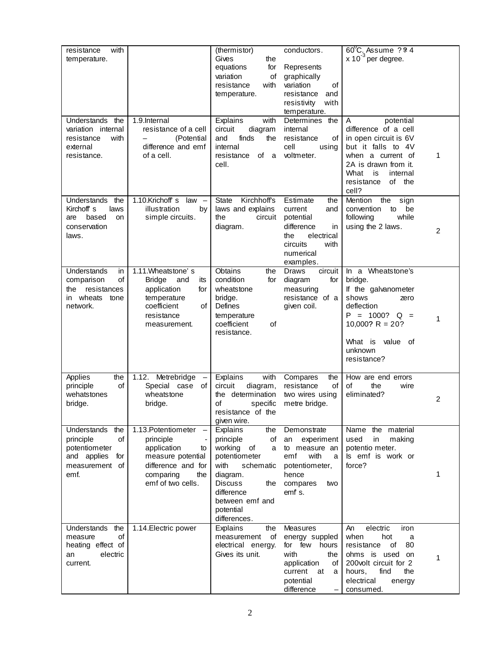| with<br>resistance<br>temperature.<br>Understands the                                               | 1.9.Internal                                                                                                                                                   | (thermistor)<br>Gives<br>the<br>for<br>equations<br>variation<br>οf<br>resistance<br>with<br>temperature.<br>Explains<br>with                                                                  | conductors.<br>Represents<br>graphically<br>variation<br>of<br>resistance<br>and<br>resistivity<br>with<br>temperature.<br>Determines<br>the | $60^{\circ}$ C. Assume $?24$<br>$x 10^{-3}$ per degree.<br>potential<br>A                                                                                                        |                |
|-----------------------------------------------------------------------------------------------------|----------------------------------------------------------------------------------------------------------------------------------------------------------------|------------------------------------------------------------------------------------------------------------------------------------------------------------------------------------------------|----------------------------------------------------------------------------------------------------------------------------------------------|----------------------------------------------------------------------------------------------------------------------------------------------------------------------------------|----------------|
| variation internal<br>with<br>resistance<br>external<br>resistance.                                 | resistance of a cell<br>(Potential<br>difference and emf<br>of a cell.                                                                                         | circuit<br>diagram<br>finds<br>and<br>the<br>internal<br>resistance<br>of<br>a<br>cell.                                                                                                        | internal<br>resistance<br>οf<br>cell<br>using<br>voltmeter.                                                                                  | difference of a cell<br>in open circuit is 6V<br>but it falls to 4V<br>when a current of<br>2A is drawn from it.<br>What<br>internal<br>is<br>resistance<br>of the<br>cell?      | 1              |
| Understands<br>the<br>Kirchoff s<br>laws<br>based<br>are<br>on<br>conservation<br>laws.             | 1.10.Krichoff s<br>$law -$<br>illustration<br>by<br>simple circuits.                                                                                           | Kirchhoff's<br>State<br>laws and explains<br>the<br>circuit<br>diagram.                                                                                                                        | Estimate<br>the<br>current<br>and<br>potential<br>difference<br>in<br>electrical<br>the<br>circuits<br>with<br>numerical<br>examples.        | Mention<br>the<br>sign<br>convention<br>to<br>be<br>following<br>while<br>using the 2 laws.                                                                                      | $\overline{2}$ |
| Understands<br>in<br>of<br>comparison<br>resistances<br>the<br>in wheats tone<br>network.           | 1.11. Wheatstone's<br><b>Bridge</b><br>and<br>its<br>application<br>for<br>temperature<br>coefficient<br>οf<br>resistance<br>measurement.                      | Obtains<br>the<br>condition<br>for<br>wheatstone<br>bridge.<br>Defines<br>temperature<br>coefficient<br>οf<br>resistance.                                                                      | <b>Draws</b><br>circuit<br>diagram<br>for<br>measuring<br>resistance of a<br>given coil.                                                     | In a Wheatstone's<br>bridge.<br>If the galvanometer<br>shows<br>zero<br>deflection<br>$P = 1000?$<br>$Q =$<br>10,000? $R = 20?$<br>value of<br>What is<br>unknown<br>resistance? | 1              |
| Applies<br>the<br>οf<br>principle<br>wehatstones<br>bridge.                                         | Metrebridge<br>1.12.<br>Special case<br>оf<br>wheatstone<br>bridge.                                                                                            | with<br>Explains<br>circuit<br>diagram,<br>the determination<br>specific<br>οf<br>resistance of the<br>given wire.                                                                             | Compares<br>the<br>of<br>resistance<br>two wires using<br>metre bridge.                                                                      | How are end errors<br>of<br>the<br>wire<br>eliminated?                                                                                                                           | $\overline{2}$ |
| Understands the<br>of<br>principle<br>potentiometer<br>and applies<br>for<br>measurement of<br>emf. | 1.13. Potentiometer<br>$\qquad \qquad -$<br>principle<br>application<br>to<br>measure potential<br>difference and for<br>comparing<br>the<br>emf of two cells. | the<br>Explains<br>principle<br>of<br>working of<br>a<br>potentiometer<br>with<br>schematic<br>diagram.<br><b>Discuss</b><br>the<br>difference<br>between emf and<br>potential<br>differences. | Demonstrate<br>experiment<br>an<br>to measure an<br>with<br>emf<br>a<br>potentiometer,<br>hence<br>compares<br>two<br>emf s.                 | Name the material<br>in<br>used<br>making<br>potentio meter.<br>Is emf is work or<br>force?                                                                                      | 1              |
| Understands the<br><b>of</b><br>measure<br>heating effect of<br>electric<br>an<br>current.          | 1.14. Electric power                                                                                                                                           | Explains<br>the<br>measurement<br>of<br>electrical energy.<br>Gives its unit.                                                                                                                  | <b>Measures</b><br>energy suppled<br>for few hours<br>with<br>the<br>application<br>of<br>current at<br>a<br>potential<br>difference         | An<br>electric<br>iron<br>when<br>hot<br>a<br>of<br>80<br>resistance<br>ohms is used on<br>200volt circuit for 2<br>find<br>the<br>hours,<br>electrical<br>energy<br>consumed.   | 1              |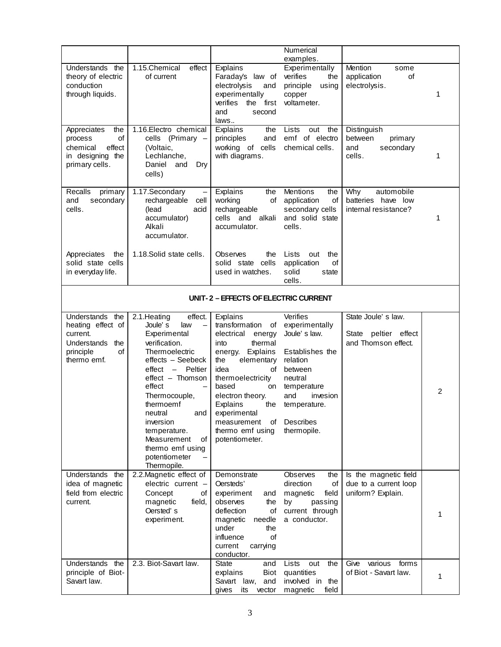|                                      |                                            |                          | Numerical              |                          |                |  |  |
|--------------------------------------|--------------------------------------------|--------------------------|------------------------|--------------------------|----------------|--|--|
|                                      |                                            |                          |                        |                          |                |  |  |
|                                      |                                            |                          | examples.              |                          |                |  |  |
| Understands the                      | 1.15.Chemical<br>effect                    | Explains                 | Experimentally         | Mention<br>some          |                |  |  |
| theory of electric                   | of current                                 | Faraday's law of         | verifies<br>the        | application<br>οf        |                |  |  |
| conduction                           |                                            | electrolysis<br>and      | principle<br>using     | electrolysis.            |                |  |  |
| through liquids.                     |                                            | experimentally           | copper                 |                          | 1              |  |  |
|                                      |                                            | verifies<br>first<br>the | voltameter.            |                          |                |  |  |
|                                      |                                            | and<br>second            |                        |                          |                |  |  |
|                                      |                                            | laws                     |                        |                          |                |  |  |
| Appreciates<br>the                   | 1.16. Electro chemical                     | Explains<br>the          | Lists<br>out<br>the    | Distinguish              |                |  |  |
| of<br>process                        | (Primary –<br>cells                        | principles<br>and        | emf of electro         | between<br>primary       |                |  |  |
| chemical<br>effect                   | (Voltaic,                                  | working of cells         | chemical cells.        | secondary<br>and         |                |  |  |
| in designing the                     | Lechlanche,                                | with diagrams.           |                        | cells.                   | 1              |  |  |
| primary cells.                       | Daniel<br>and<br>Dry                       |                          |                        |                          |                |  |  |
|                                      | cells)                                     |                          |                        |                          |                |  |  |
|                                      |                                            |                          |                        |                          |                |  |  |
| Recalls<br>primary                   | 1.17.Secondary                             | Explains<br>the          | <b>Mentions</b><br>the | Why<br>automobile        |                |  |  |
| and<br>secondary                     | rechargeable<br>cell                       | working<br>of            | application<br>of      | batteries have low       |                |  |  |
| cells.                               | (lead<br>acid                              | rechargeable             | secondary cells        | internal resistance?     |                |  |  |
|                                      | accumulator)                               | cells and alkali         | and solid state        |                          | 1              |  |  |
|                                      | Alkali                                     | accumulator.             | cells.                 |                          |                |  |  |
|                                      |                                            |                          |                        |                          |                |  |  |
|                                      | accumulator.                               |                          |                        |                          |                |  |  |
|                                      |                                            |                          |                        |                          |                |  |  |
| Appreciates<br>the                   | 1.18.Solid state cells.                    | Observes<br>the          | Lists<br>out<br>the    |                          |                |  |  |
| solid state cells                    |                                            | solid state cells        | application<br>οf      |                          |                |  |  |
| in everyday life.                    |                                            | used in watches.         | solid<br>state         |                          |                |  |  |
|                                      |                                            |                          | cells.                 |                          |                |  |  |
|                                      |                                            |                          |                        |                          |                |  |  |
| UNIT-2 - EFFECTS OF ELECTRIC CURRENT |                                            |                          |                        |                          |                |  |  |
|                                      |                                            |                          |                        |                          |                |  |  |
| Understands<br>the                   | effect.<br>2.1. Heating                    | Explains                 | Verifies               | State Joule's law.       |                |  |  |
| heating effect of                    | Joule's<br>law<br>$\overline{\phantom{0}}$ | transformation<br>of     | experimentally         |                          |                |  |  |
| current.                             | Experimental                               | electrical<br>energy     | Joule's law.           | State peltier effect     |                |  |  |
| Understands<br>the                   | verification.                              | thermal<br>into          |                        | and Thomson effect.      |                |  |  |
| principle<br>οf                      | Thermoelectric                             | Explains<br>energy.      | Establishes the        |                          |                |  |  |
| thermo emf.                          | effects - Seebeck                          | elementary<br>the        | relation               |                          |                |  |  |
|                                      | effect<br>- Peltier                        | idea<br>οf               | between                |                          |                |  |  |
|                                      | effect - Thomson                           | thermoelectricity        | neutral                |                          |                |  |  |
|                                      | effect                                     | based<br>on              | temperature            |                          |                |  |  |
|                                      | Thermocouple,                              | electron theory.         | and<br>invesion        |                          | $\overline{2}$ |  |  |
|                                      | thermoemf                                  | Explains<br>the          | temperature.           |                          |                |  |  |
|                                      | neutral<br>and                             | experimental             |                        |                          |                |  |  |
|                                      | inversion                                  | measurement<br>of        | Describes              |                          |                |  |  |
|                                      | temperature.                               | thermo emf using         | thermopile.            |                          |                |  |  |
|                                      | Measurement<br>οf                          | potentiometer.           |                        |                          |                |  |  |
|                                      |                                            |                          |                        |                          |                |  |  |
|                                      | thermo emf using                           |                          |                        |                          |                |  |  |
|                                      | potentiometer                              |                          |                        |                          |                |  |  |
|                                      | Thermopile.                                |                          |                        |                          |                |  |  |
| Understands the                      | 2.2. Magnetic effect of                    | Demonstrate              | <b>Observes</b><br>the | Is the magnetic field    |                |  |  |
| idea of magnetic                     | electric current -                         | Oersteds'                | direction<br>of        | due to a current loop    |                |  |  |
| field from electric                  | Concept<br>οf                              | experiment<br>and        | field<br>magnetic      | uniform? Explain.        |                |  |  |
| current.                             | magnetic<br>field.                         | observes<br>the          | passing<br>by          |                          |                |  |  |
|                                      | Oersted's                                  | deflection<br>of         | current through        |                          | 1              |  |  |
|                                      | experiment.                                | magnetic<br>needle       | a conductor.           |                          |                |  |  |
|                                      |                                            | under<br>the             |                        |                          |                |  |  |
|                                      |                                            | influence<br>of          |                        |                          |                |  |  |
|                                      |                                            | current<br>carrying      |                        |                          |                |  |  |
|                                      |                                            | conductor.               |                        |                          |                |  |  |
| Understands the                      | 2.3. Biot-Savart law.                      | <b>State</b><br>and      | Lists<br>the<br>out    | various<br>Give<br>forms |                |  |  |
| principle of Biot-                   |                                            | <b>Biot</b><br>explains  | quantities             | of Biot - Savart law.    | 1              |  |  |
| Savart law.                          |                                            | Savart law,<br>and       | involved in the        |                          |                |  |  |
|                                      |                                            | gives<br>its<br>vector   | magnetic<br>field      |                          |                |  |  |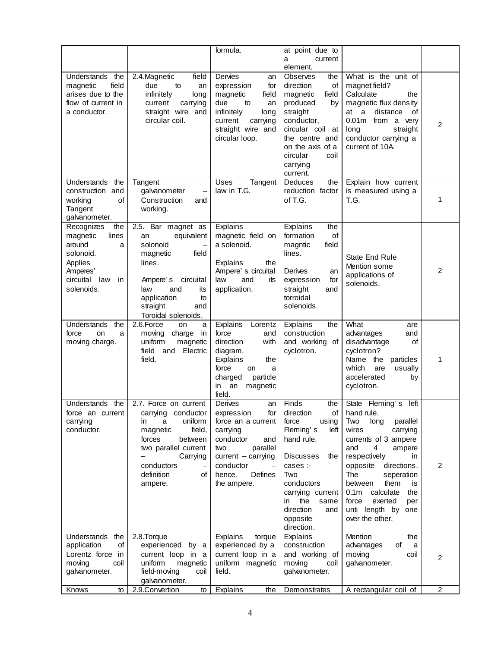|                                                                                                                                   |                                                                                                                                                                                                   | formula.                                                                                                                                                                             | at point due to<br>current<br>a                                                                                                                                                                                                  |                                                                                                                                                                                                                                                                                                                                    |                |
|-----------------------------------------------------------------------------------------------------------------------------------|---------------------------------------------------------------------------------------------------------------------------------------------------------------------------------------------------|--------------------------------------------------------------------------------------------------------------------------------------------------------------------------------------|----------------------------------------------------------------------------------------------------------------------------------------------------------------------------------------------------------------------------------|------------------------------------------------------------------------------------------------------------------------------------------------------------------------------------------------------------------------------------------------------------------------------------------------------------------------------------|----------------|
|                                                                                                                                   |                                                                                                                                                                                                   |                                                                                                                                                                                      | element.                                                                                                                                                                                                                         |                                                                                                                                                                                                                                                                                                                                    |                |
| Understands<br>the<br>field<br>magnetic<br>arises due to the<br>flow of current in<br>a conductor.                                | 2.4. Magnetic<br>field<br>due<br>to<br>an<br>infinitely<br>long<br>carrying<br>current<br>straight wire and<br>circular coil.                                                                     | Dervies<br>an<br>for<br>expression<br>magnetic<br>field<br>due<br>to<br>an<br>infinitely<br>long<br>current<br>carrying<br>straight wire and<br>circular loop.                       | Observes<br>the<br>direction<br>оf<br>magnetic<br>field<br>produced<br>by<br>straight<br>conductor,<br>circular coil at<br>the centre and<br>on the axis of a<br>circular<br>coil<br>carrying<br>current.                        | What is the unit of<br>magnet field?<br>Calculate<br>the<br>magnetic flux density<br>a<br>distance<br>0f<br>at<br>0.01m from a very<br>long<br>straight<br>conductor carrying a<br>current of 10A.                                                                                                                                 | $\overline{2}$ |
| Understands<br>the<br>construction and<br>of<br>working<br>Tangent<br>galvanometer.                                               | Tangent<br>galvanometer<br>Construction<br>and<br>working.                                                                                                                                        | <b>Uses</b><br>Tangent<br>law in T.G.                                                                                                                                                | <b>Deduces</b><br>the<br>reduction factor<br>of T.G.                                                                                                                                                                             | Explain how current<br>is measured using a<br>T.G.                                                                                                                                                                                                                                                                                 | 1              |
| Recognizes<br>the<br>magnetic<br>lines<br>around<br>a<br>solonoid.<br>Applies<br>Amperes'<br>circuital<br>law<br>in<br>solenoids. | 2.5. Bar magnet as<br>equivalent<br>an<br>solonoid<br>field<br>magnetic<br>lines.<br>Ampere's<br>circuital<br>law<br>and<br>its<br>application<br>to<br>straight<br>and<br>Toroidal solenoids.    | Explains<br>magnetic field on<br>a solenoid.<br>Explains<br>the<br>Ampere's circuital<br>law<br>and<br>its<br>application.                                                           | Explains<br>the<br>formation<br>of<br>field<br>magntic<br>lines.<br>Derives<br>an<br>expression<br>for<br>straight<br>and<br>torroidal<br>solenoids.                                                                             | State End Rule<br>Mention some<br>applications of<br>solenoids.                                                                                                                                                                                                                                                                    | 2              |
| Understands<br>the<br>force<br>on<br>a<br>moving charge.                                                                          | 2.6.Force<br>on<br>a<br>moving<br>charge<br>in<br>uniform<br>magnetic<br>field and<br>Electric<br>field.                                                                                          | Explains<br>Lorentz<br>force<br>and<br>direction<br>with<br>diagram.<br>Explains<br>the<br>force<br>on<br>a<br>charged<br>particle<br>in<br>an<br>magnetic<br>field.                 | Explains<br>the<br>construction<br>and working of<br>cyclotron.                                                                                                                                                                  | What<br>are<br>advantages<br>and<br>disadvantage<br>οf<br>cyclotron?<br>Name<br>the<br>particles<br>which<br>are<br>usually<br>accelerated<br>by<br>cyclotron.                                                                                                                                                                     | 1              |
| Understands the<br>force an current<br>carrying<br>conductor.                                                                     | 2.7. Force on current<br>carrying<br>conductor<br>uniform<br>in.<br>a<br>field,<br>magnetic<br>forces<br>between<br>two parallel current<br>Carrying<br>conductors<br>definition<br>οf<br>ampere. | Derives<br>an<br>expression<br>tor<br>force an a current<br>carrying<br>conductor<br>and<br>parallel<br>two<br>$current - carrying$<br>conductor<br>Defines<br>hence.<br>the ampere. | Finds<br>the<br>direction<br>Οt<br>force<br>using<br>Fleming's<br>left<br>hand rule.<br>the<br>Discusses<br>cases :-<br>Two<br>conductors<br>carrying current<br>the<br>same<br>in<br>direction<br>and<br>opposite<br>direction. | State Fleming's<br>left<br>hand rule.<br>Two<br>parallel<br>long<br>wires<br>carrying<br>currents of 3 ampere<br>4<br>and<br>ampere<br>respectively<br>in<br>opposite<br>directions.<br>The<br>seperation<br>between<br>them<br>is<br>0.1m calculate<br>the<br>exerted<br>force<br>per<br>unti length by<br>one<br>over the other. | 2              |
| Understands<br>the<br>application<br>οf<br>Lorentz force in<br>moving<br>coil<br>galvanometer.                                    | 2.8.Torque<br>experienced by a<br>current loop in a<br>uniform<br>magnetic<br>field-moving<br>coil<br>galvanometer.                                                                               | Explains<br>torque<br>experienced by a<br>current loop in a<br>uniform magnetic<br>field.                                                                                            | Explains<br>construction<br>and working of<br>moving<br>coil<br>galvanometer.                                                                                                                                                    | Mention<br>the<br>advantages<br>of<br>a<br>moving<br>coil<br>galvanometer.                                                                                                                                                                                                                                                         | $\overline{2}$ |
| Knows<br>to                                                                                                                       | 2.9.Convertion<br>to                                                                                                                                                                              | Explains<br>the                                                                                                                                                                      | Demonstrates                                                                                                                                                                                                                     | A rectangular coil of                                                                                                                                                                                                                                                                                                              | $\overline{2}$ |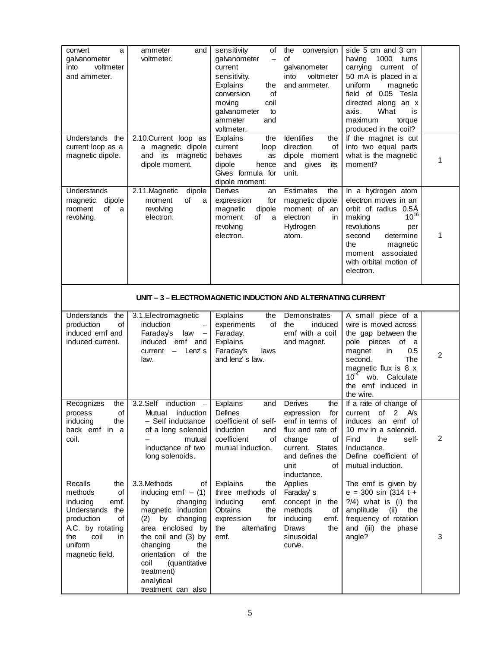| convert<br>a<br>galvanometer<br>voltmeter<br>into<br>and ammeter.                                                                                                  | and<br>ammeter<br>voltmeter.                                                                                                                                                                                                                                                 | sensitivity<br>οf<br>galvanometer<br>current<br>sensitivity.<br>Explains<br>the<br>conversion<br>of<br>coil<br>moving<br>galvanometer<br>to<br>ammeter<br>and<br>voltmeter. | the<br>conversion<br>οf<br>galvanometer<br>voltmeter<br>into<br>and ammeter.                                                                                  | side 5 cm and 3 cm<br>1000<br>having<br>turns<br>carrying current of<br>50 mA is placed in a<br>uniform<br>magnetic<br>field of 0.05 Tesla<br>directed along an x<br>What<br>axis.<br>is<br>maximum<br>torque<br>produced in the coil?  |                |  |  |  |
|--------------------------------------------------------------------------------------------------------------------------------------------------------------------|------------------------------------------------------------------------------------------------------------------------------------------------------------------------------------------------------------------------------------------------------------------------------|-----------------------------------------------------------------------------------------------------------------------------------------------------------------------------|---------------------------------------------------------------------------------------------------------------------------------------------------------------|-----------------------------------------------------------------------------------------------------------------------------------------------------------------------------------------------------------------------------------------|----------------|--|--|--|
| Understands the<br>current loop as a<br>magnetic dipole.                                                                                                           | 2.10.Current loop as<br>a magnetic dipole<br>and its<br>magnetic<br>dipole moment.                                                                                                                                                                                           | <b>Explains</b><br>the<br>current<br>loop<br>behaves<br>as<br>dipole<br>hence<br>Gives formula for<br>dipole moment.                                                        | Identifies<br>the<br>direction<br>of<br>dipole moment<br>and<br>gives<br>its<br>unit.                                                                         | If the magnet is cut<br>into two equal parts<br>what is the magnetic<br>moment?                                                                                                                                                         | 1              |  |  |  |
| Understands<br>magnetic<br>dipole<br>of<br>moment<br>a<br>revolving.                                                                                               | 2.11.Magnetic<br>dipole<br>of<br>moment<br>a<br>revolving<br>electron.                                                                                                                                                                                                       | Derives<br>an<br>for<br>expression<br>magnetic<br>dipole<br>of<br>moment<br>a<br>revolving<br>electron.                                                                     | Estimates<br>the<br>magnetic dipole<br>moment of an<br>electron<br>in.<br>Hydrogen<br>atom.                                                                   | In a hydrogen atom<br>electron moves in an<br>orbit of radius 0.5Å<br>$10^{16}$<br>making<br>revolutions<br>per<br>determine<br>second<br>the<br>magnetic<br>associated<br>moment<br>with orbital motion of<br>electron.                | 1              |  |  |  |
| UNIT - 3 - ELECTROMAGNETIC INDUCTION AND ALTERNATING CURRENT                                                                                                       |                                                                                                                                                                                                                                                                              |                                                                                                                                                                             |                                                                                                                                                               |                                                                                                                                                                                                                                         |                |  |  |  |
| Understands<br>the<br>of<br>production<br>induced emf and<br>induced current.                                                                                      | 3.1. Electromagnetic<br>induction<br>Faraday's<br>law<br>emf and<br>induced<br>current<br>Lenz's<br>$ \,$<br>law.                                                                                                                                                            | Explains<br>the<br>experiments<br>of<br>Faraday.<br>Explains<br>Faraday's<br>laws<br>and lenz's law.                                                                        | Demonstrates<br>induced<br>the<br>emf with a coil<br>and magnet.                                                                                              | A small piece of a<br>wire is moved across<br>the gap between the<br>pole pieces<br>of<br>a<br>0.5<br>magnet<br>in<br><b>The</b><br>second.<br>magnetic flux is 8 x<br>$10^{-4}$<br>Calculate<br>wb.<br>the emf induced in<br>the wire. | $\overline{2}$ |  |  |  |
| Recognizes<br>the<br>of<br>process<br>inducing<br>the<br>back emf in a<br>coil.                                                                                    | 3.2.Self induction -<br>induction<br>Mutual<br>- Self inductance<br>of a long solenoid<br>mutual<br>inductance of two<br>long solenoids.                                                                                                                                     | Explains<br>and<br>Defines<br>coefficient of self-<br>induction<br>and<br>coefficient<br>of<br>mutual induction.                                                            | Derives<br>the<br>for<br>expression<br>emf in terms of<br>flux and rate of<br>change<br>of<br>current. States<br>and defines the<br>unit<br>of<br>inductance. | If a rate of change of<br>A/s<br>of<br>current<br>2<br>induces an emf of<br>10 mv in a solenoid.<br>Find<br>the<br>self-<br>inductance.<br>Define coefficient of<br>mutual induction.                                                   | $\overline{2}$ |  |  |  |
| Recalls<br>the<br>methods<br>οf<br>inducing<br>emf.<br>Understands the<br>production<br>of<br>A.C. by rotating<br>coil<br>the<br>in.<br>uniform<br>magnetic field. | 3.3.Methods<br>οf<br>inducing emf $-$ (1)<br>by<br>changing<br>magnetic induction<br>changing<br>(2)<br>by<br>area enclosed by<br>the coil and (3) by<br>changing<br>the<br>orientation<br>of the<br>coil<br>(quantitative<br>treatment)<br>analytical<br>treatment can also | Explains<br>the<br>three methods of<br>inducing<br>emf.<br>Obtains<br>the<br>expression<br>for<br>the<br>alternating<br>emf.                                                | Applies<br>Faraday s<br>concept in the<br>methods<br>of<br>inducing<br>emf.<br>Draws<br>the<br>sinusoidal<br>curve.                                           | The emf is given by<br>$e = 300 \sin (314 t +$<br>$?4$ ) what is (i) the<br>amplitude<br>the<br>(ii)<br>frequency of rotation<br>and (iii) the phase<br>angle?                                                                          | 3              |  |  |  |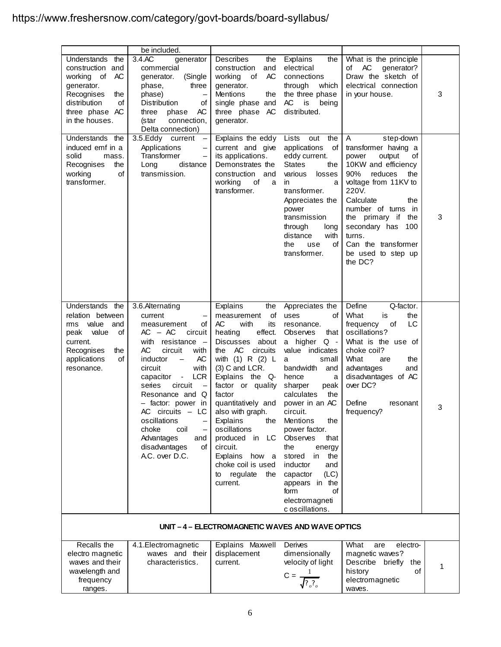# https://www.freshersnow.com/category/govt-boards/board-syllabus/

|                                                                                                                                                     | be included.                                                                                                                                                                                                                                                                                                                                                                                                                                        |                                                                                                                                                                                                                                                                                                                                                                                                                             |                                                                                                                                                                                                                                                                                                                                                                                                                                                           |                                                                                                                                                                                                                                                                                                            |   |
|-----------------------------------------------------------------------------------------------------------------------------------------------------|-----------------------------------------------------------------------------------------------------------------------------------------------------------------------------------------------------------------------------------------------------------------------------------------------------------------------------------------------------------------------------------------------------------------------------------------------------|-----------------------------------------------------------------------------------------------------------------------------------------------------------------------------------------------------------------------------------------------------------------------------------------------------------------------------------------------------------------------------------------------------------------------------|-----------------------------------------------------------------------------------------------------------------------------------------------------------------------------------------------------------------------------------------------------------------------------------------------------------------------------------------------------------------------------------------------------------------------------------------------------------|------------------------------------------------------------------------------------------------------------------------------------------------------------------------------------------------------------------------------------------------------------------------------------------------------------|---|
| Understands the<br>construction and<br>working of AC<br>generator.<br>Recognises<br>the<br>distribution<br>οf<br>three phase AC<br>in the houses.   | 3.4.AC<br>generator<br>commercial<br>generator.<br>(Single<br>phase,<br>three<br>phase)<br>$\qquad \qquad -$<br>Distribution<br>οf<br>AC<br>three<br>phase<br>connection,<br>(star<br>Delta connection)                                                                                                                                                                                                                                             | Describes<br>the<br>construction<br>and<br>AC<br>working of<br>generator.<br>Mentions<br>the<br>single phase and<br>three phase AC<br>generator.                                                                                                                                                                                                                                                                            | Explains<br>the<br>electrical<br>connections<br>through<br>which<br>the three phase<br>AC<br>is<br>being<br>distributed.                                                                                                                                                                                                                                                                                                                                  | What is the principle<br>AC<br>generator?<br>of<br>Draw the sketch of<br>electrical connection<br>in your house.                                                                                                                                                                                           | 3 |
| Understands the<br>induced emf in a<br>solid<br>mass.<br>the<br>Recognises<br>of<br>working<br>transformer.                                         | 3.5.Eddy current<br>Applications<br>$\overline{\phantom{0}}$<br>Transformer<br>—<br>distance<br>Long<br>transmission.                                                                                                                                                                                                                                                                                                                               | Explains the eddy<br>current and give<br>its applications.<br>Demonstrates the<br>construction and<br>working<br>of<br>a<br>transformer.                                                                                                                                                                                                                                                                                    | Lists<br>out<br>the<br>applications<br>of I<br>eddy current.<br><b>States</b><br>the<br>various<br>losses<br>in<br>a<br>transformer.<br>Appreciates the<br>power<br>transmission<br>through<br>long<br>distance<br>with<br>the<br>use<br>οf<br>transformer.                                                                                                                                                                                               | A<br>step-down<br>transformer having a<br>power<br>output<br>οf<br>10KW and efficiency<br>90%<br>reduces<br>the<br>voltage from 11KV to<br>220V.<br>Calculate<br>the<br>number of turns in<br>the primary if the<br>secondary has<br>100<br>turns.<br>Can the transformer<br>be used to step up<br>the DC? | 3 |
| Understands the<br>relation between<br>rms value<br>and<br>peak<br>value<br>οf<br>current.<br>Recognises<br>the<br>applications<br>οf<br>resonance. | 3.6.Alternating<br>current<br>measurement<br>οf<br>$AC - AC$<br>circuit<br>with<br>resistance -<br>AC<br>circuit<br>with<br>AC<br>inductor<br>$\overline{\phantom{m}}$<br>with<br>circuit<br><b>LCR</b><br>capacitor<br>$\sim 100$<br>series<br>circuit<br>$\overline{\phantom{0}}$<br>Resonance and Q<br>- factor: power in<br>$AC$ circuits $- LC$<br>oscillations<br>choke<br>coil<br>Advantages<br>and<br>disadvantages<br>οf<br>A.C. over D.C. | Explains<br>the<br>of<br>measurement<br>AC<br>with<br>its<br>heating<br>effect.<br>about<br><b>Discusses</b><br>AC<br>the<br>circuits<br>with $(1)$ R $(2)$ L<br>$(3)$ C and LCR.<br>Explains the Q-<br>factor or quality<br>factor<br>quantitatively and<br>also with graph.<br>Explains<br>the<br>oscillations<br>produced in LC<br>circuit.<br>Explains how a<br>choke coil is used<br>regulate<br>to<br>the<br>current. | Appreciates the<br>οf<br>uses<br>resonance.<br><b>Observes</b><br>that<br>a higher Q -<br>value indicates<br>small<br>a<br>bandwidth<br>and<br>hence<br>a<br>sharper<br>peak<br>calculates<br>the<br>power in an AC<br>circuit.<br><b>Mentions</b><br>the<br>power factor.<br><b>Observes</b><br>that<br>the<br>energy<br>stored<br>in<br>the<br>inductor<br>and<br>(LC)<br>capactor<br>appears in the<br>form<br>οf<br>electromagneti<br>c oscillations. | Define<br>Q-factor.<br>What<br>is<br>the<br>LC<br>frequency<br>of<br>oscillations?<br>What is the use of<br>choke coil?<br>What<br>are<br>the<br>advantages<br>and<br>disadvantages of AC<br>over DC?<br>Define<br>resonant<br>frequency?                                                                  | 3 |
|                                                                                                                                                     |                                                                                                                                                                                                                                                                                                                                                                                                                                                     | UNIT-4-ELECTROMAGNETIC WAVES AND WAVE OPTICS                                                                                                                                                                                                                                                                                                                                                                                |                                                                                                                                                                                                                                                                                                                                                                                                                                                           |                                                                                                                                                                                                                                                                                                            |   |
| Recalls the<br>electro magnetic<br>waves and their<br>wavelength and<br>frequency<br>ranges.                                                        | 4.1. Electromagnetic<br>waves and their<br>characteristics.                                                                                                                                                                                                                                                                                                                                                                                         | Explains Maxwell<br>displacement<br>current.                                                                                                                                                                                                                                                                                                                                                                                | Derives<br>dimensionally<br>velocity of light<br>$C = -$<br>$\sqrt{?}$                                                                                                                                                                                                                                                                                                                                                                                    | What<br>electro-<br>are<br>magnetic waves?<br>Describe briefly<br>the<br>history<br>οf<br>electromagnetic<br>waves.                                                                                                                                                                                        | 1 |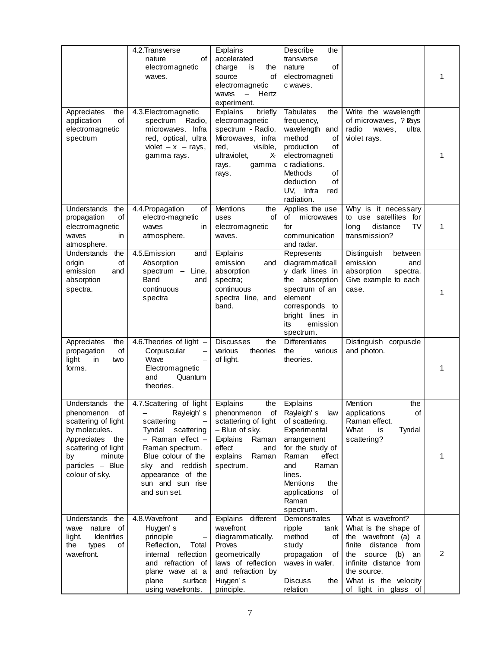|                                                                                                                                                                             | 4.2. Transverse<br>of<br>nature<br>electromagnetic<br>waves.                                                                                                                                                      | Explains<br>accelerated<br>charge<br>is<br>the<br>of<br>source<br>electromagnetic<br>Hertz<br>waves<br>$\overline{\phantom{m}}$<br>experiment.         | Describe<br>the<br>transverse<br>of<br>nature<br>electromagneti<br>c waves.                                                                                                                                    |                                                                                                                                                                                                               | 1 |
|-----------------------------------------------------------------------------------------------------------------------------------------------------------------------------|-------------------------------------------------------------------------------------------------------------------------------------------------------------------------------------------------------------------|--------------------------------------------------------------------------------------------------------------------------------------------------------|----------------------------------------------------------------------------------------------------------------------------------------------------------------------------------------------------------------|---------------------------------------------------------------------------------------------------------------------------------------------------------------------------------------------------------------|---|
| Appreciates<br>the<br>of<br>application<br>electromagnetic<br>spectrum                                                                                                      | 4.3. Electromagnetic<br>Radio,<br>spectrum<br>Infra<br>microwaves.<br>red, optical, ultra<br>violet $-x$ - rays,<br>gamma rays.                                                                                   | briefly<br>Explains<br>electromagnetic<br>spectrum - Radio,<br>Microwaves, infra<br>red,<br>visible,<br>ultraviolet,<br>Х-<br>rays,<br>gamma<br>rays.  | <b>Tabulates</b><br>the<br>frequency,<br>wavelength and<br>method<br>οf<br>production<br>of<br>electromagneti<br>c radiations.<br><b>Methods</b><br>of<br>of<br>deduction<br>UV, Infra<br>red<br>radiation.    | Write the wavelength<br>of microwaves, ? Pays<br>radio<br>waves,<br>ultra<br>violet rays.                                                                                                                     | 1 |
| Understands<br>the<br>of<br>propagation<br>electromagnetic<br>waves<br>in<br>atmosphere.                                                                                    | 4.4. Propagation<br>of<br>electro-magnetic<br>waves<br>in<br>atmosphere.                                                                                                                                          | Mentions<br>the<br>of<br>uses<br>electromagnetic<br>waves.                                                                                             | Applies the use<br>of<br>microwaves<br>for<br>communication<br>and radar.                                                                                                                                      | Why is it necessary<br>to use satellites<br>for<br>TV<br>long<br>distance<br>transmission?                                                                                                                    | 1 |
| the<br>Understands<br>origin<br>οf<br>emission<br>and<br>absorption<br>spectra.                                                                                             | 4.5.Emission<br>and<br>Absorption<br>spectrum -<br>Line,<br>Band<br>and<br>continuous<br>spectra                                                                                                                  | Explains<br>emission<br>and<br>absorption<br>spectra;<br>continuous<br>spectra line, and<br>band.                                                      | Represents<br>diagrammaticall<br>y dark lines in<br>absorption<br>the<br>spectrum of an<br>element<br>corresponds<br>to<br>bright lines<br>in<br>its<br>emission<br>spectrum.                                  | Distinguish<br>between<br>emission<br>and<br>absorption<br>spectra.<br>Give example to each<br>case.                                                                                                          | 1 |
| Appreciates<br>the<br>of<br>propagation<br>light<br>in<br>two<br>forms.                                                                                                     | 4.6. Theories of light -<br>Corpuscular<br>Wave<br>Electromagnetic<br>and<br>Quantum<br>theories.                                                                                                                 | <b>Discusses</b><br>the<br>various<br>theories<br>of light.                                                                                            | <b>Differentiates</b><br>the<br>various<br>theories.                                                                                                                                                           | Distinguish corpuscle<br>and photon.                                                                                                                                                                          | 1 |
| Understands the<br>phenomenon<br>οf<br>scattering of light<br>by molecules.<br>Appreciates the<br>scattering of light<br>minute<br>by<br>particles - Blue<br>colour of sky. | 4.7.Scattering of light<br>Rayleigh's<br>scattering<br>Tyndal scattering<br>- Raman effect -<br>Raman spectrum.<br>Blue colour of the<br>sky and reddish<br>appearance of the<br>sun and sun rise<br>and sun set. | Explains<br>the<br>phenonmenon<br>of<br>sctattering of light<br>- Blue of sky.<br>Explains<br>Raman<br>effect<br>and<br>explains<br>Raman<br>spectrum. | Explains<br>Rayleigh's<br>law<br>of scattering.<br>Experimental<br>arrangement<br>for the study of<br>Raman<br>effect<br>Raman<br>and<br>lines.<br>Mentions<br>the<br>applications<br>οf<br>Raman<br>spectrum. | Mention<br>the<br>applications<br>οf<br>Raman effect.<br>What<br>is<br>Tyndal<br>scattering?                                                                                                                  | 1 |
| Understands the<br>of<br>wave nature<br><b>Identifies</b><br>light.<br>the<br>types<br>οf<br>wavefront.                                                                     | 4.8. Wavefront<br>and<br>Huygen's<br>principle<br>Reflection,<br>Total<br>internal reflection<br>and refraction of<br>plane wave at a<br>plane<br>surface<br>using wavefronts.                                    | Explains different<br>wavefront<br>diagrammatically.<br>Proves<br>geometrically<br>laws of reflection<br>and refraction by<br>Huygen's<br>principle.   | Demonstrates<br>ripple<br>tank<br>method<br>of<br>study<br>propagation<br>οf<br>waves in wafer.<br><b>Discuss</b><br>the<br>relation                                                                           | What is wavefront?<br>What is the shape of<br>the wavefront (a) a<br>finite<br>distance from<br>the source (b)<br>an<br>infinite distance from<br>the source.<br>What is the velocity<br>of light in glass of | 2 |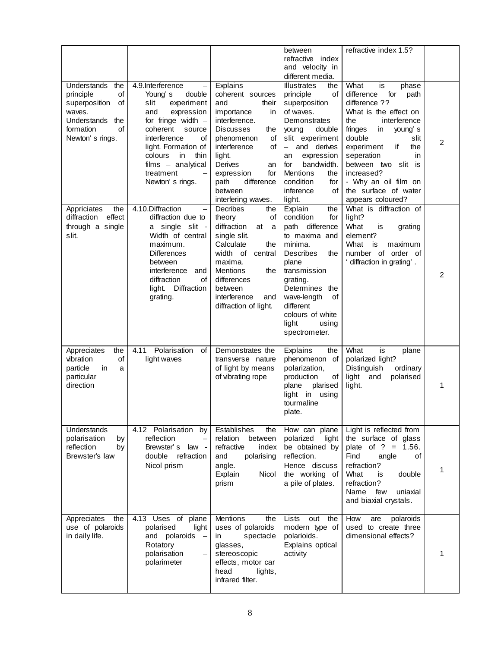|                                                                                                                                        |                                                                                                                                                                                                                                                                                       |                                                                                                                                                                                                                                                               | between<br>refractive index                                                                                                                                                                                                                                            | refractive index 1.5?                                                                                                                                                                                                                                                        |   |
|----------------------------------------------------------------------------------------------------------------------------------------|---------------------------------------------------------------------------------------------------------------------------------------------------------------------------------------------------------------------------------------------------------------------------------------|---------------------------------------------------------------------------------------------------------------------------------------------------------------------------------------------------------------------------------------------------------------|------------------------------------------------------------------------------------------------------------------------------------------------------------------------------------------------------------------------------------------------------------------------|------------------------------------------------------------------------------------------------------------------------------------------------------------------------------------------------------------------------------------------------------------------------------|---|
|                                                                                                                                        |                                                                                                                                                                                                                                                                                       |                                                                                                                                                                                                                                                               | and velocity in                                                                                                                                                                                                                                                        |                                                                                                                                                                                                                                                                              |   |
|                                                                                                                                        |                                                                                                                                                                                                                                                                                       |                                                                                                                                                                                                                                                               | different media.                                                                                                                                                                                                                                                       |                                                                                                                                                                                                                                                                              |   |
| <b>Understands</b><br>the<br>principle<br>οf<br>superposition<br>of<br>waves.<br>Understands the<br>formation<br>οf<br>Newton's rings. | 4.9.Interference<br>double<br>Young's<br>slit<br>experiment<br>expression<br>and<br>for fringe width $-$<br>coherent source<br>interference<br>οf<br>light. Formation of<br>colours<br>in<br>thin<br>$films - analytical$<br>treatment<br>$\overline{\phantom{0}}$<br>Newton's rings. | Explains<br>coherent sources<br>and<br>their<br>importance<br>in<br>interference.<br><b>Discusses</b><br>the<br>phenomenon<br>οf<br>of<br>interference<br>light.<br>Derives<br>an<br>for<br>expression<br>difference<br>path                                  | <b>Illustrates</b><br>the<br>principle<br>of<br>superposition<br>of waves.<br>Demonstrates<br>young<br>double<br>slit experiment<br>and derives<br>$\overline{\phantom{a}}$<br>expression<br>an<br>bandwidth.<br>for<br>Mentions<br>the<br>condition<br>for            | What<br>is<br>phase<br>difference<br>for<br>path<br>difference ??<br>What is the effect on<br>the<br>interference<br>fringes<br>in<br>young's<br>double<br>slit<br>the<br>experiment<br>if<br>seperation<br>in.<br>between two slit is<br>increased?<br>- Why an oil film on | 2 |
|                                                                                                                                        |                                                                                                                                                                                                                                                                                       | between                                                                                                                                                                                                                                                       | inference<br>οf                                                                                                                                                                                                                                                        | the surface of water                                                                                                                                                                                                                                                         |   |
| Appriciates<br>the<br>effect<br>diffraction<br>through a single<br>slit.                                                               | 4.10.Diffraction<br>$\equiv$<br>diffraction due to<br>a single slit -<br>Width of central<br>maximum.<br><b>Differences</b><br>between<br>interference<br>and<br>diffraction<br>οf<br>light. Diffraction<br>grating.                                                                  | interfering waves.<br><b>Decribes</b><br>the<br>theory<br>οf<br>diffraction<br>at a<br>single slit.<br>Calculate<br>the<br>width of<br>central<br>maxima.<br><b>Mentions</b><br>the<br>differences<br>between<br>interference<br>and<br>diffraction of light. | light.<br>Explain<br>the<br>condition<br>for<br>path difference<br>to maxima and<br>minima.<br><b>Describes</b><br>the<br>plane<br>transmission<br>grating.<br>Determines the<br>wave-length<br>0f<br>different<br>colours of white<br>light<br>using<br>spectrometer. | appears coloured?<br>What is diffraction of<br>light?<br>What<br>grating<br>is<br>element?<br>What<br>is<br>maximum<br>number of order of<br>' diffraction in grating'.                                                                                                      | 2 |
| Appreciates<br>the<br>vibration<br>οf<br>particle<br>in<br>a<br>particular<br>direction                                                | Polarisation<br>4.11<br>of<br>light waves                                                                                                                                                                                                                                             | Demonstrates the<br>transverse nature<br>of light by means<br>of vibrating rope                                                                                                                                                                               | Explains<br>the<br>phenomenon of<br>polarization,<br>production<br>оf<br>plane<br>plarised<br>light in using<br>tourmaline<br>plate.                                                                                                                                   | What<br>is<br>plane<br>polarized light?<br>Distinguish<br>ordinary<br>light<br>polarised<br>and<br>light.                                                                                                                                                                    | 1 |
| Understands<br>polarisation<br>by<br>reflection<br>by<br>Brewster's law                                                                | 4.12 Polarisation<br>by<br>reflection<br>Brewster's law -<br>double<br>refraction<br>Nicol prism                                                                                                                                                                                      | Establishes<br>the<br>relation<br>between<br>refractive<br>index<br>and<br>polarising<br>angle.<br>Nicol<br>Explain<br>prism                                                                                                                                  | How can plane<br>polarized<br>light<br>be obtained by<br>reflection.<br>Hence discuss<br>the working of<br>a pile of plates.                                                                                                                                           | Light is reflected from<br>the surface of glass<br>plate of $? = 1.56$ .<br>Find<br>angle<br>οf<br>refraction?<br>What<br>double<br>is<br>refraction?<br>Name<br>few<br>uniaxial<br>and biaxial crystals.                                                                    | 1 |
| Appreciates<br>the<br>use of polaroids<br>in daily life.                                                                               | 4.13 Uses of plane<br>polarised<br>light<br>and polaroids<br>$\overline{\phantom{0}}$<br>Rotatory<br>polarisation<br>polarimeter                                                                                                                                                      | Mentions<br>the<br>uses of polaroids<br>spectacle<br>in<br>glasses,<br>stereoscopic<br>effects, motor car<br>head<br>lights,<br>infrared filter.                                                                                                              | Lists<br>out the<br>modern type of<br>polarioids.<br>Explains optical<br>activity                                                                                                                                                                                      | polaroids<br>How<br>are<br>used to create three<br>dimensional effects?                                                                                                                                                                                                      | 1 |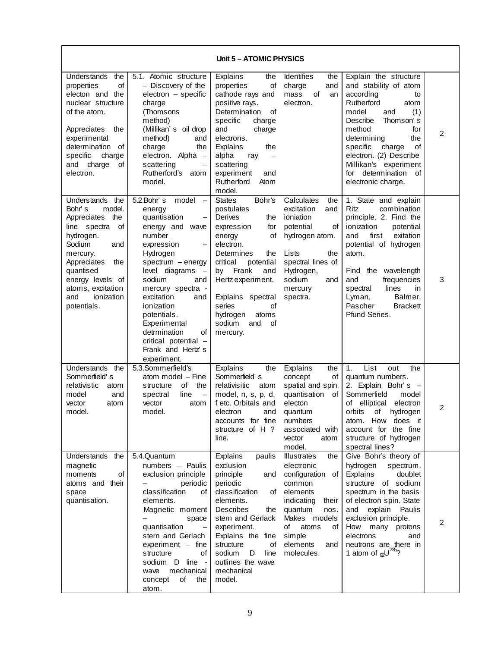| Unit 5 - ATOMIC PHYSICS                                                                                                                                                                                                                      |                                                                                                                                                                                                                                                                                                                                                                                               |                                                                                                                                                                                                                                                                                                 |                                                                                                                                                                                                                |                                                                                                                                                                                                                                                                                                                |   |
|----------------------------------------------------------------------------------------------------------------------------------------------------------------------------------------------------------------------------------------------|-----------------------------------------------------------------------------------------------------------------------------------------------------------------------------------------------------------------------------------------------------------------------------------------------------------------------------------------------------------------------------------------------|-------------------------------------------------------------------------------------------------------------------------------------------------------------------------------------------------------------------------------------------------------------------------------------------------|----------------------------------------------------------------------------------------------------------------------------------------------------------------------------------------------------------------|----------------------------------------------------------------------------------------------------------------------------------------------------------------------------------------------------------------------------------------------------------------------------------------------------------------|---|
| Understands<br>the<br>properties<br>of<br>electon and the<br>nuclear structure<br>of the atom.<br>Appreciates<br>the<br>experimental<br>determination of<br>specific<br>charge<br>and<br>charge<br>οf<br>electron.                           | 5.1. Atomic structure<br>- Discovery of the<br>electron - specific<br>charge<br>(Thomsons<br>method)<br>(Millikan's oil drop<br>method)<br>and<br>charge<br>the<br>electron. Alpha -<br>scattering<br>Rutherford's<br>atom<br>model.                                                                                                                                                          | Explains<br>the<br>properties<br>оf<br>cathode rays and<br>positive rays.<br>Determination<br>οf<br>specific<br>charge<br>and<br>charge<br>electrons.<br>Explains<br>the<br>alpha<br>ray<br>$\overline{\phantom{m}}$<br>scattering<br>experiment<br>and<br>Rutherford<br>Atom<br>model.         | Identifies<br>the<br>charge<br>and<br>mass<br>οf<br>an<br>electron.                                                                                                                                            | Explain the structure<br>and stability of atom<br>according<br>to<br>Rutherford<br>atom<br>model<br>and<br>(1)<br>Describe<br>Thomson's<br>method<br>for<br>determining<br>the<br>of<br>specific<br>charge<br>electron. (2) Describe<br>Millikan's experiment<br>for determination<br>οf<br>electronic charge. | 2 |
| the<br>Understands<br>Bohr's<br>model.<br>the<br>Appreciates<br>line spectra<br>οf<br>hydrogen.<br>Sodium<br>and<br>mercury.<br>Appreciates<br>the<br>quantised<br>energy levels of<br>atoms, excitation<br>ionization<br>and<br>potentials. | 5.2.Bohr's<br>model<br>$\overline{\phantom{m}}$<br>energy<br>quantisation<br>energy and wave<br>number<br>expression<br>Hydrogen<br>spectrum - energy<br>level diagrams<br>$\overline{\phantom{a}}$<br>sodium<br>and<br>mercury spectra -<br>excitation<br>and<br>ionization<br>potentials.<br>Experimental<br>detrmination<br>οf<br>critical potential -<br>Frank and Hertz's<br>experiment. | <b>States</b><br>Bohr's<br>postulates<br>Derives<br>the<br>for<br>expression<br>οf<br>energy<br>electron.<br>Determines<br>the<br>critical<br>potential<br>Frank<br>by<br>and<br>Hertz experiment.<br>Explains spectral<br>series<br>οf<br>hydrogen<br>atoms<br>sodium<br>and<br>οf<br>mercury. | Calculates<br>the<br>excitation<br>and<br>ioniation<br>potential<br>of<br>hydrogen atom.<br>Lists<br>the<br>spectral lines of<br>Hydrogen,<br>sodium<br>and<br>mercury<br>spectra.                             | 1. State and explain<br>Ritz<br>combination<br>principle. 2. Find the<br>ionization<br>potential<br>exitation<br>and<br>first<br>potential of hydrogen<br>atom.<br>Find the wavelength<br>and<br>frequencies<br>spectral<br>lines<br>in<br>Lyman,<br>Balmer,<br>Pascher<br><b>Brackett</b><br>Pfund Series.    | 3 |
| Understands the<br>Sommerfield's<br>relativistic<br>atom<br>model<br>and<br>vector<br>atom<br>model.                                                                                                                                         | 5.3.Sommerfield's<br>atom model - Fine<br>of<br>the<br>structure<br>line<br>spectral<br>$\overline{\phantom{0}}$<br>vector<br>atom<br>model.                                                                                                                                                                                                                                                  | Explains<br>the<br>Sommerfield's<br>relativisitic<br>atom<br>model, n, s, p, d,<br>f etc. Orbitals and<br>electron<br>and<br>accounts for fine<br>structure of H?<br>line.                                                                                                                      | Explains<br>the<br>concept<br>of<br>spatial and spin<br>quantisation<br>of<br>electon<br>quantum<br>numbers<br>associated with<br>vector<br>atom<br>model.                                                     | List<br>1.<br>out<br>the<br>quantum numbers.<br>2. Explain Bohr's -<br>Sommerfield<br>model<br>elliptical<br>electron<br>of<br>orbits<br>hydrogen<br>οf<br>atom. How does it<br>account for the fine<br>structure of hydrogen<br>spectral lines?                                                               | 2 |
| Understands the<br>magnetic<br>of<br>moments<br>atoms and their<br>space<br>quantisation.                                                                                                                                                    | 5.4.Quantum<br>numbers - Paulis<br>exclusion principle<br>periodic<br>classification<br>οf<br>elements.<br>Magnetic moment<br>space<br>quantisation<br>$\overline{\phantom{0}}$<br>stern and Gerlach<br>experiment - fine<br>of<br>structure<br>sodium D line -<br>mechanical<br>wave<br>concept<br>of<br>the<br>atom.                                                                        | Explains<br>paulis<br>exclusion<br>principle<br>and<br>periodic<br>classification<br>of<br>elements.<br><b>Describes</b><br>the<br>stern and Gerlack<br>experiment.<br>Explains the fine<br>structure<br>of<br>sodium<br>D<br>line<br>outlines the wave<br>mechanical<br>model.                 | <b>Illustrates</b><br>the<br>electronic<br>configuration<br>of<br>common<br>elements<br>indicating<br>their<br>quantum<br>nos.<br>Makes models<br>atoms<br>οf<br>οf<br>simple<br>elements<br>and<br>molecules. | Give Bohr's theory of<br>hydrogen<br>spectrum.<br>Explains<br>doublet<br>structure of sodium<br>spectrum in the basis<br>of electron spin. State<br>and<br>explain<br>Paulis<br>exclusion principle.<br>How<br>many protons<br>electrons<br>and<br>neutrons are there in<br>1 atom of $\omega^{235}$ ?         | 2 |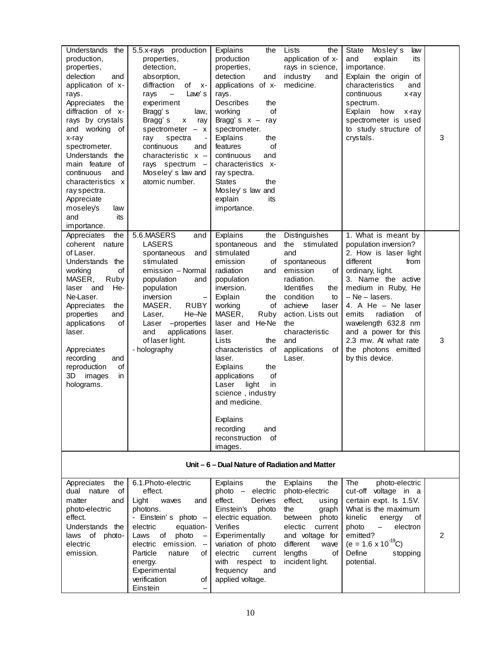| Understands<br>the<br>production,<br>properties,<br>delection<br>and<br>application of x-<br>rays.<br>Appreciates<br>the<br>diffraction of x-<br>rays by crystals<br>and working of<br>x-ray<br>spectrometer.<br>Understands the<br>main feature of<br>continuous<br>and<br>characteristics x<br>ray spectra.<br>Appreciate<br>moseley's<br>law<br>and<br>its<br>importance. | 5.5.x-rays production<br>properties,<br>detection,<br>absorption,<br>diffraction<br>of<br>$X -$<br>Lave's<br>rays<br>$\overline{\phantom{0}}$<br>experiment<br>Bragg's<br>law,<br>Bragg's<br>$\pmb{\mathsf{x}}$<br>ray<br>spectrometer $- x$<br>spectra<br>ray<br>continuous<br>and<br>characteristic $x -$<br>rays spectrum<br>$\qquad \qquad -$<br>Moseley's law and<br>atomic number. | Explains<br>the<br>production<br>properties,<br>detection<br>and<br>applications of x-<br>rays.<br><b>Describes</b><br>the<br>of<br>working<br>Bragg's $x -$<br>ray<br>spectrometer.<br>Explains<br>the<br>of<br>features<br>continuous<br>and<br>characteristics x-<br>ray spectra.<br><b>States</b><br>the<br>Mosley's law and<br>explain<br>its<br>importance.                                                                 | Lists<br>the<br>application of x-<br>rays in science,<br>industry<br>and<br>medicine.                                                                                                                                                            | Mosley's<br>law<br>State<br>and<br>explain<br>its<br>importance.<br>Explain the origin of<br>characteristics<br>and<br>continuous<br>x-ray<br>spectrum.<br>Explain<br>how<br>x-ray<br>spectrometer is used<br>to study structure of<br>crystals.                                                                                                    | 3 |
|------------------------------------------------------------------------------------------------------------------------------------------------------------------------------------------------------------------------------------------------------------------------------------------------------------------------------------------------------------------------------|------------------------------------------------------------------------------------------------------------------------------------------------------------------------------------------------------------------------------------------------------------------------------------------------------------------------------------------------------------------------------------------|-----------------------------------------------------------------------------------------------------------------------------------------------------------------------------------------------------------------------------------------------------------------------------------------------------------------------------------------------------------------------------------------------------------------------------------|--------------------------------------------------------------------------------------------------------------------------------------------------------------------------------------------------------------------------------------------------|-----------------------------------------------------------------------------------------------------------------------------------------------------------------------------------------------------------------------------------------------------------------------------------------------------------------------------------------------------|---|
| the<br>Appreciates<br>coherent nature<br>of Laser.<br>Understands the<br>working<br>of<br>MASER,<br>Ruby<br>He-<br>laser and<br>Ne-Laser.<br>the<br>Appreciates<br>properties<br>and<br>of<br>applications<br>laser.<br>Appreciates<br>recording<br>and<br>of<br>reproduction<br>images<br>in<br>3D<br>holograms.                                                            | 5.6.MASERS<br>and<br><b>LASERS</b><br>spontaneous<br>and<br>stimulated<br>emission - Normal<br>population<br>and<br>population<br>inversion<br>$\overline{\phantom{0}}$<br>MASER,<br><b>RUBY</b><br>He-Ne<br>Laser,<br>-properties<br>Laser<br>and<br>applications<br>of laser light.<br>- holography                                                                                    | Explains<br>the<br>spontaneous<br>and<br>stimulated<br>emission<br>οf<br>radiation<br>and<br>population<br>inversion.<br>Explain<br>the<br>working<br>οf<br>MASER,<br>Ruby<br>laser and He-Ne<br>laser.<br>Lists<br>the<br>characteristics of<br>laser.<br>Explains<br>the<br>of<br>applications<br>Laser<br>light<br>in<br>science, industry<br>and medicine.<br>Explains<br>recording<br>and<br>reconstruction<br>οf<br>images. | Distinguishes<br>the<br>stimulated<br>and<br>spontaneous<br>emission<br>οf<br>radiation.<br><b>Identifies</b><br>the<br>condition<br>to<br>achieve<br>laser<br>action. Lists out<br>the<br>characteristic<br>and<br>applications<br>of<br>Laser. | 1. What is meant by<br>population inversion?<br>2. How is laser light<br>different<br>from<br>ordinary, light.<br>3. Name the active<br>medium in Ruby, He<br>$-$ Ne $-$ lasers.<br>4. A He - Ne laser<br>emits<br>radiation<br>οf<br>wavelength 632.8 nm<br>and a power for this<br>2.3 mw. At what rate<br>the photons emitted<br>by this device. | 3 |

|  | <u>Unit – 6 – Dual Nature or Ragiation and Matter</u> |
|--|-------------------------------------------------------|
|  |                                                       |

| the<br>Appreciates   | 6.1. Photo-electric                               | Explains<br>the                               | Explains<br>the    | The<br>photo-electric                  |   |
|----------------------|---------------------------------------------------|-----------------------------------------------|--------------------|----------------------------------------|---|
| of<br>dual<br>nature | effect.                                           | electric<br>photo<br>$\overline{\phantom{m}}$ | photo-electric     | voltage<br>cut-off<br>in a             |   |
| matter<br>and        | Light<br>waves<br>and                             | effect.<br><b>Derives</b>                     | effect,<br>using   | certain expt. Is 1.5V.                 |   |
| photo-electric       | photons.                                          | Einstein's<br>photo                           | the<br>graph       | What is the maximum                    |   |
| effect.              | - Einstein's photo $-$                            | electric equation.                            | between<br>photo   | kinelic<br>οf<br>energy                |   |
| Understands<br>the   | electric<br>equation-                             | <b>Verifies</b>                               | electic<br>current | photo<br>electron<br>$\qquad \qquad -$ |   |
| laws of<br>photo-    | photo<br>οf<br>Laws<br>$\overline{\phantom{m}}$   | Experimentally                                | and voltage for    | emitted?                               | 2 |
| electric             | emission.<br>electric<br>$\overline{\phantom{m}}$ | variation of photo                            | different<br>wave  | $(e = 1.6 \times 10^{-19}C)$           |   |
| emission.            | of l<br>Particle<br>nature                        | electric<br>current                           | οf<br>lengths      | Define<br>stopping                     |   |
|                      | energy.                                           | with<br>respect to                            | incident light.    | potential.                             |   |
|                      | Experimental                                      | and<br>frequency                              |                    |                                        |   |
|                      | verification<br>οf                                | applied voltage.                              |                    |                                        |   |
|                      | Einstein<br>$\overline{\phantom{0}}$              |                                               |                    |                                        |   |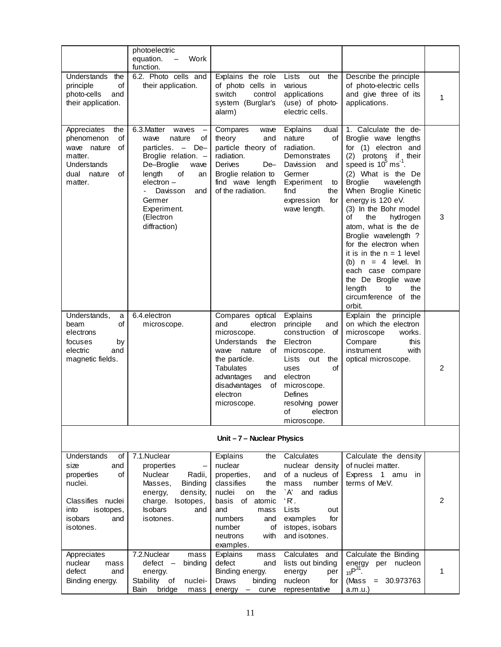|                                        | photoelectric                                |                                          |                                   |                                                |   |
|----------------------------------------|----------------------------------------------|------------------------------------------|-----------------------------------|------------------------------------------------|---|
|                                        | Work<br>equation.<br>$\qquad \qquad -$       |                                          |                                   |                                                |   |
| <b>Understands</b><br>the              | function.<br>6.2. Photo cells and            | Explains the role                        | Lists<br>out the                  | Describe the principle                         |   |
| of<br>principle                        | their application.                           | of photo cells in                        | various                           | of photo-electric cells                        |   |
| photo-cells<br>and                     |                                              | switch<br>control                        | applications                      | and give three of its                          |   |
| their application.                     |                                              | system (Burglar's                        | (use) of photo-                   | applications.                                  | 1 |
|                                        |                                              | alarm)                                   | electric cells.                   |                                                |   |
|                                        |                                              |                                          |                                   |                                                |   |
| Appreciates<br>the<br>phenomenon<br>of | 6.3. Matter<br>waves<br>nature<br>οf<br>wave | Compares<br>wave<br>theory<br>and        | Explains<br>dual<br>nature<br>of  | 1. Calculate the de-<br>Broglie wave lengths   |   |
| wave nature<br>οf                      | particles. $-$<br>$De-$                      | particle theory of                       | radiation.                        | for (1) electron and                           |   |
| matter.                                | Broglie relation. -                          | radiation.                               | Demonstrates                      | (2)<br>protons if their                        |   |
| Understands                            | De-Broglie<br>wave                           | Derives<br>De-                           | Davission<br>and                  | speed is 10 <sup>°</sup> ms <sup>-1</sup> .    |   |
| dual nature<br>of                      | length<br>of<br>an                           | Broglie relation to                      | Germer                            | (2) What is the De                             |   |
| matter.                                | electron -                                   | find wave length                         | Experiment<br>to                  | <b>Broglie</b><br>wavelength                   |   |
|                                        | Davisson<br>and                              | of the radiation.                        | find<br>the                       | When Broglie Kinetic                           |   |
|                                        | Germer<br>Experiment.                        |                                          | expression<br>for<br>wave length. | energy is 120 eV.<br>(3) In the Bohr model     |   |
|                                        | (Electron                                    |                                          |                                   | the<br>of<br>hydrogen                          | 3 |
|                                        | diffraction)                                 |                                          |                                   | atom, what is the de                           |   |
|                                        |                                              |                                          |                                   | Broglie wavelength ?                           |   |
|                                        |                                              |                                          |                                   | for the electron when                          |   |
|                                        |                                              |                                          |                                   | it is in the $n = 1$ level                     |   |
|                                        |                                              |                                          |                                   | (b) $n = 4$ level. In<br>each case compare     |   |
|                                        |                                              |                                          |                                   | the De Broglie wave                            |   |
|                                        |                                              |                                          |                                   | length<br>the<br>to                            |   |
|                                        |                                              |                                          |                                   | circumference of the                           |   |
|                                        |                                              |                                          |                                   | orbit.                                         |   |
| Understands,<br>a<br>οf<br>beam        | 6.4.electron<br>microscope.                  | Compares optical<br>and<br>electron      | Explains<br>principle<br>and      | Explain the principle<br>on which the electron |   |
| electrons                              |                                              | microscope.                              | construction<br>оf                | microscope<br>works.                           |   |
| focuses<br>by                          |                                              | Understands<br>the                       | Electron                          | this<br>Compare                                |   |
| electric<br>and                        |                                              | of<br>wave<br>nature                     | microscope.                       | instrument<br>with                             |   |
| magnetic fields.                       |                                              | the particle.                            | Lists<br>out<br>the               | optical microscope.                            |   |
|                                        |                                              | <b>Tabulates</b>                         | of<br>uses                        |                                                | 2 |
|                                        |                                              | advantages<br>and<br>disadvantages<br>of | electron<br>microscope.           |                                                |   |
|                                        |                                              | electron                                 | Defines                           |                                                |   |
|                                        |                                              | microscope.                              | resolving power                   |                                                |   |
|                                        |                                              |                                          | οf<br>electron                    |                                                |   |
|                                        |                                              |                                          | microscope.                       |                                                |   |
|                                        |                                              | Unit-7-Nuclear Physics                   |                                   |                                                |   |
|                                        |                                              |                                          |                                   |                                                |   |
| Understands<br>οf                      | 7.1.Nuclear                                  | Explains<br>the                          | Calculates                        | Calculate the density                          |   |
| and<br>size                            | properties                                   | nuclear                                  | nuclear density                   | of nuclei matter.                              |   |
| properties<br>οf<br>nuclei.            | Nuclear<br>Radii,<br>Masses,<br>Binding      | properties,<br>and<br>classifies<br>the  | of a nucleus of<br>number<br>mass | Express 1 amu<br>in<br>terms of MeV.           |   |
|                                        | density,<br>energy,                          | nuclei<br>the<br>on                      | A'<br>and radius                  |                                                |   |
| Classifies nuclei                      | charge.<br>Isotopes,                         | of<br>atomic<br>basis                    | $R$ .                             |                                                | 2 |
| into<br>isotopes,                      | <b>Isobars</b><br>and                        | and<br>mass                              | Lists<br>out                      |                                                |   |

| 0f<br>Understands           | 7.1. Nuclear                                  | Explains<br>the       | Calculates           | Calculate the density                   |   |
|-----------------------------|-----------------------------------------------|-----------------------|----------------------|-----------------------------------------|---|
| and<br>size                 | properties                                    | nuclear               | nuclear density      | of nuclei matter.                       |   |
| of<br>properties            | <b>Nuclear</b><br>Radii,                      | properties,<br>and    | of a nucleus of      | Express<br>$\overline{1}$<br>amu<br>in. |   |
| nuclei.                     | <b>Binding</b><br>Masses,                     | classifies<br>the     | number<br>mass       | terms of MeV.                           |   |
|                             | density,<br>energy,                           | nuclei<br>the<br>on   | `A'<br>radius<br>and |                                         |   |
| <b>Classifies</b><br>nuclei | charge.<br>Isotopes,                          | basis<br>atomic<br>of | 'R.                  |                                         | 2 |
| into<br>isotopes,           | <b>Isobars</b><br>and                         | and<br>mass           | Lists<br>out         |                                         |   |
| isobars<br>and              | isotones.                                     | numbers<br>and        | for<br>examples      |                                         |   |
| isotones.                   |                                               | number<br>οf          | istopes, isobars     |                                         |   |
|                             |                                               | with<br>neutrons      | and isotones.        |                                         |   |
|                             |                                               | examples.             |                      |                                         |   |
| Appreciates                 | 7.2. Nuclear<br>mass                          | Explains<br>mass      | Calculates<br>and    | Calculate the Binding                   |   |
| nuclear<br>mass             | defect<br>binding<br>$\overline{\phantom{m}}$ | defect<br>and         | lists out binding    | nucleon<br>energy<br>per                |   |
| defect<br>and               | energy.                                       | Binding energy.       | energy<br>per        | $15P^{31}$                              |   |
| Binding energy.             | Stability<br>0f<br>nuclei-                    | binding<br>Draws      | for<br>nucleon       | 30.973763<br>(Mass<br>$=$               |   |
|                             | <b>Bain</b><br>bridge<br>mass                 | curve<br>energy<br>—  | representative       | a.m.u.                                  |   |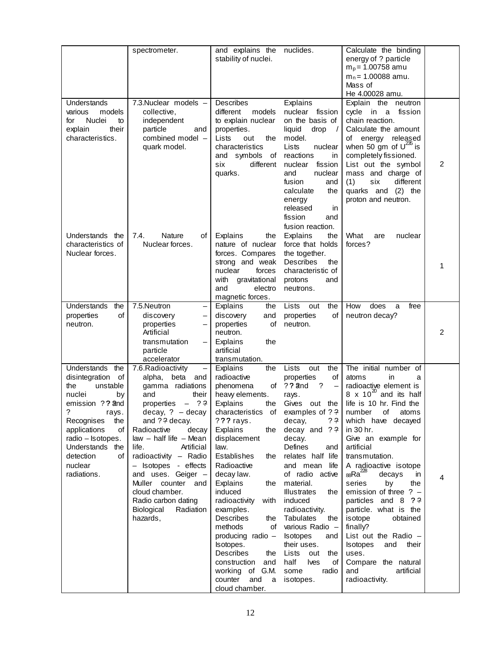|                                                                                                                                                                                                                                              | spectrometer.                                                                                                                                                                                                                                                                                                                                                                                        | and explains the<br>stability of nuclei.                                                                                                                                                                                                                                                                                                                                                                                                                                                   | nuclides.                                                                                                                                                                                                                                                                                                                                                                                                                                                                     | Calculate the binding<br>energy of ? particle<br>$m_p$ = 1.00758 amu<br>$m_n$ = 1.00088 amu.<br>Mass of<br>He 4.00028 amu.                                                                                                                                                                                                                                                                                                                                                                                                                                                                  |                |
|----------------------------------------------------------------------------------------------------------------------------------------------------------------------------------------------------------------------------------------------|------------------------------------------------------------------------------------------------------------------------------------------------------------------------------------------------------------------------------------------------------------------------------------------------------------------------------------------------------------------------------------------------------|--------------------------------------------------------------------------------------------------------------------------------------------------------------------------------------------------------------------------------------------------------------------------------------------------------------------------------------------------------------------------------------------------------------------------------------------------------------------------------------------|-------------------------------------------------------------------------------------------------------------------------------------------------------------------------------------------------------------------------------------------------------------------------------------------------------------------------------------------------------------------------------------------------------------------------------------------------------------------------------|---------------------------------------------------------------------------------------------------------------------------------------------------------------------------------------------------------------------------------------------------------------------------------------------------------------------------------------------------------------------------------------------------------------------------------------------------------------------------------------------------------------------------------------------------------------------------------------------|----------------|
| Understands<br>various<br>models<br>Nuclei<br>for<br>to<br>explain<br>their<br>characteristics.                                                                                                                                              | 7.3. Nuclear models -<br>collective,<br>independent<br>particle<br>and<br>combined model -<br>quark model.                                                                                                                                                                                                                                                                                           | Describes<br>different<br>models<br>to explain nuclear<br>properties.<br>Lists<br>the<br>out<br>characteristics<br>and symbols of<br>six<br>different<br>quarks.                                                                                                                                                                                                                                                                                                                           | Explains<br>nuclear fission<br>on the basis of<br>liquid<br>drop<br>$\sqrt{ }$<br>model.<br>Lists<br>nuclear<br>reactions<br>in<br>nuclear<br>fission<br>nuclear<br>and<br>fusion<br>and<br>calculate<br>the<br>energy<br>released<br>in<br>fission<br>and<br>fusion reaction.                                                                                                                                                                                                | Explain the neutron<br>cycle in a fission<br>chain reaction.<br>Calculate the amount<br>energy released<br>οf<br>when 50 gm of $U^{235}$ is<br>completely fissioned.<br>List out the symbol<br>mass and charge of<br>six<br>different<br>(1)<br>quarks and (2) the<br>proton and neutron.                                                                                                                                                                                                                                                                                                   | $\overline{2}$ |
| Understands the<br>characteristics of<br>Nuclear forces.                                                                                                                                                                                     | 7.4.<br><b>Nature</b><br>of<br>Nuclear forces.                                                                                                                                                                                                                                                                                                                                                       | Explains<br>the<br>nature of nuclear<br>forces. Compares<br>strong and weak<br>nuclear<br>forces<br>with<br>gravitational<br>and<br>electro<br>magnetic forces.                                                                                                                                                                                                                                                                                                                            | Explains<br>the<br>force that holds<br>the together.<br>Describes<br>the<br>characteristic of<br>protons<br>and<br>neutrons.                                                                                                                                                                                                                                                                                                                                                  | What<br>nuclear<br>are<br>forces?                                                                                                                                                                                                                                                                                                                                                                                                                                                                                                                                                           | 1              |
| Understands<br>the<br>properties<br>οf<br>neutron.                                                                                                                                                                                           | 7.5. Neutron<br>discovery<br>properties<br>Artificial<br>transmutation<br>particle<br>accelerator                                                                                                                                                                                                                                                                                                    | Explains<br>the<br>discovery<br>and<br>properties<br>οf<br>neutron.<br>Explains<br>the<br>artificial<br>transmutation.                                                                                                                                                                                                                                                                                                                                                                     | the<br>Lists<br>out<br>properties<br>οf<br>neutron.                                                                                                                                                                                                                                                                                                                                                                                                                           | How<br>does<br>free<br>a<br>neutron decay?                                                                                                                                                                                                                                                                                                                                                                                                                                                                                                                                                  | $\overline{2}$ |
| Understands<br>the<br>disintegration<br>of<br>unstable<br>the<br>nuclei<br>by<br>emission ?? and<br>rays.<br>Recognises<br>the<br>applications<br>of<br>radio - Isotopes.<br>Understands<br>the<br>detection<br>of<br>nuclear<br>radiations. | 7.6. Radioactivity<br>alpha, beta<br>and<br>gamma radiations<br>and<br>their<br>$-$ ? ?<br>properties<br>$decay, ? - decay$<br>and ?? decay.<br>decay<br>Radioactive<br>$law - half life - Mean$<br>Artificial<br>life.<br>radioactivity - Radio<br>- Isotopes - effects<br>and uses. Geiger -<br>Muller counter and<br>cloud chamber.<br>Radio carbon dating<br>Biological<br>Radiation<br>hazards, | Explains<br>the<br>radioactive<br>phenomena<br>heavy elements.<br>Explains<br>the<br>characteristics of examples of ??<br>??? rays.<br>Explains<br>the<br>displacement<br>law.<br>Establishes<br>the<br>Radioactive<br>decay law.<br>Explains<br>the<br>induced<br>radioactivity<br>with<br>examples.<br>Describes<br>the<br>methods<br>οf<br>producing radio -<br>Isotopes.<br><b>Describes</b><br>the<br>construction<br>and<br>working of G.M.<br>counter<br>and<br>a<br>cloud chamber. | the<br>Lists<br>out<br>of<br>properties<br>of ?? and<br>$\cdot$ ?<br>$\qquad \qquad -$<br>rays.<br>Gives out the<br>decay,<br>? ?<br>decay and $??$<br>decay.<br>Defines<br>and<br>relates half life<br>and mean<br>life<br>of radio active<br>material.<br><b>Illustrates</b><br>the<br>induced<br>radioactivity.<br>Tabulates<br>the<br>various Radio -<br><b>Isotopes</b><br>and<br>their uses.<br>Lists<br>out<br>the<br>half<br>Ives<br>оf<br>some<br>radio<br>isotopes. | The initial number of<br>atoms<br>in.<br>a<br>radioactive element is<br>8 x 10 <sup>20</sup> and its half<br>life is 10 hr. Find the<br>number<br>of<br>atoms<br>which have decayed<br>in 30 hr.<br>Give an example for<br>artificial<br>transmutation.<br>A radioactive isotope<br>$_{88}Ra^{228}$<br>decays<br>in<br>series<br>by<br>the<br>emission of three $? -$<br>particles and 8 ??<br>particle. what is the<br>isotope<br>obtained<br>finally?<br>List out the Radio $-$<br><b>Isotopes</b><br>and<br>their<br>uses.<br>Compare the natural<br>and<br>artificial<br>radioactivity. | 4              |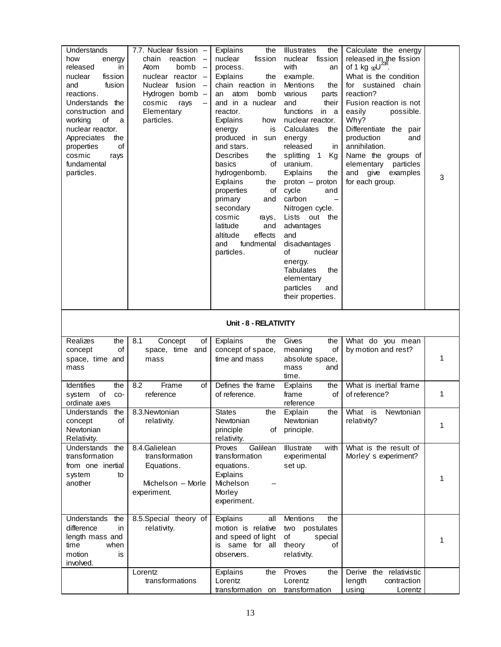| Understands<br>how<br>energy<br>released<br>in<br>nuclear<br>fission<br>and<br>fusion<br>reactions.<br>Understands the<br>construction and<br>of<br>working<br>a<br>nuclear reactor.<br>Appreciates<br>the<br>of<br>properties<br>cosmic<br>rays<br>fundamental<br>particles. | 7.7. Nuclear fission -<br>chain<br>reaction<br>Atom<br>bomb<br>$\overline{\phantom{0}}$<br>nuclear reactor -<br>Nuclear fusion<br>$\overline{\phantom{a}}$<br>Hydrogen bomb -<br>cosmic<br>rays<br>Elementary<br>particles. | Explains<br>the<br>nuclear<br>fission<br>process.<br>Explains<br>the<br>chain reaction in<br>atom<br>bomb<br>an<br>and in a nuclear<br>reactor.<br>Explains<br>how<br>is<br>energy<br>produced in sun<br>and stars.<br><b>Describes</b><br>the<br>basics<br>of<br>hydrogenbomb.<br>Explains<br>the<br>properties<br>of<br>primary<br>and<br>secondary<br>cosmic<br>rays,<br>latitude<br>and<br>effects<br>altitude<br>fundmental<br>and<br>particles. | <b>Illustrates</b><br>the<br>nuclear<br>fission<br>with<br>an<br>example.<br>Mentions<br>the<br>various<br>parts<br>their<br>and<br>functions<br>in a<br>nuclear reactor.<br>Calculates<br>the<br>energy<br>released<br>in<br>splitting 1<br>Kg<br>uranium.<br>Explains<br>the<br>$proton - proton$<br>cycle<br>and<br>carbon<br>$\overline{\phantom{0}}$<br>Nitrogen cycle.<br>Lists out the<br>advantages<br>and<br>disadvantages<br>of<br>nuclear<br>energy.<br><b>Tabulates</b><br>the<br>elementary<br>particles<br>and<br>their properties. | Calculate the energy<br>released in the fission<br>of 1 kg $\omega^{238}$ .<br>What is the condition<br>for sustained chain<br>reaction?<br>Fusion reaction is not<br>easily<br>possible.<br>Why?<br>Differentiate the pair<br>production<br>and<br>annihilation.<br>Name the groups of<br>elementary particles<br>give<br>examples<br>and<br>for each group. | 3 |
|-------------------------------------------------------------------------------------------------------------------------------------------------------------------------------------------------------------------------------------------------------------------------------|-----------------------------------------------------------------------------------------------------------------------------------------------------------------------------------------------------------------------------|-------------------------------------------------------------------------------------------------------------------------------------------------------------------------------------------------------------------------------------------------------------------------------------------------------------------------------------------------------------------------------------------------------------------------------------------------------|---------------------------------------------------------------------------------------------------------------------------------------------------------------------------------------------------------------------------------------------------------------------------------------------------------------------------------------------------------------------------------------------------------------------------------------------------------------------------------------------------------------------------------------------------|---------------------------------------------------------------------------------------------------------------------------------------------------------------------------------------------------------------------------------------------------------------------------------------------------------------------------------------------------------------|---|
|                                                                                                                                                                                                                                                                               |                                                                                                                                                                                                                             | Unit - 8 - RELATIVITY                                                                                                                                                                                                                                                                                                                                                                                                                                 |                                                                                                                                                                                                                                                                                                                                                                                                                                                                                                                                                   |                                                                                                                                                                                                                                                                                                                                                               |   |
| Realizes<br>the<br>concept<br>οf<br>space, time and<br>mass                                                                                                                                                                                                                   | 8.1<br>Concept<br>of<br>space, time and<br>mass                                                                                                                                                                             | Explains<br>the<br>concept of space,<br>time and mass                                                                                                                                                                                                                                                                                                                                                                                                 | Gives<br>the<br>meaning<br>οf<br>absolute space,<br>mass<br>and<br>time.                                                                                                                                                                                                                                                                                                                                                                                                                                                                          | What do you mean<br>by motion and rest?                                                                                                                                                                                                                                                                                                                       | 1 |
| Identifies<br>the<br>system<br>of<br>CO-<br>ordinate axes                                                                                                                                                                                                                     | Frame<br>8.2<br>of<br>reference                                                                                                                                                                                             | Defines the frame<br>of reference.                                                                                                                                                                                                                                                                                                                                                                                                                    | Explains<br>the<br>frame<br>οf<br>reference                                                                                                                                                                                                                                                                                                                                                                                                                                                                                                       | What is inertial frame<br>of reference?                                                                                                                                                                                                                                                                                                                       | 1 |
| Understands<br>the<br>concept<br>of<br>Newtonian<br>Relativity.                                                                                                                                                                                                               | 8.3. Newtonian<br>relativity.                                                                                                                                                                                               | States<br>the<br>Newtonian<br>principle<br>of<br>relativity.                                                                                                                                                                                                                                                                                                                                                                                          | Explain<br>the<br>Newtonian<br>principle.                                                                                                                                                                                                                                                                                                                                                                                                                                                                                                         | What is<br>Newtonian<br>relativity?                                                                                                                                                                                                                                                                                                                           | 1 |
| Understands the<br>transformation<br>from one inertial<br>system<br>to<br>another                                                                                                                                                                                             | 8.4.Galielean<br>transformation<br>Equations.<br>Michelson - Morle<br>experiment.                                                                                                                                           | Galilean<br>Proves<br>transformation<br>equations.<br>Explains<br>Michelson<br>Morley<br>experiment.                                                                                                                                                                                                                                                                                                                                                  | Illustrate<br>with<br>experimental<br>set up.                                                                                                                                                                                                                                                                                                                                                                                                                                                                                                     | What is the result of<br>Morley's experiment?                                                                                                                                                                                                                                                                                                                 | 1 |
| Understands<br>the<br>difference<br>in<br>length mass and<br>time<br>when<br>motion<br>is<br>involved.                                                                                                                                                                        | 8.5.Special theory of<br>relativity.                                                                                                                                                                                        | Explains<br>all<br>motion is relative<br>and speed of light<br>is same for all<br>observers.                                                                                                                                                                                                                                                                                                                                                          | Mentions<br>the<br>two postulates<br>οf<br>special<br>theory<br>οf<br>relativity.<br>Proves                                                                                                                                                                                                                                                                                                                                                                                                                                                       |                                                                                                                                                                                                                                                                                                                                                               | 1 |
|                                                                                                                                                                                                                                                                               | Lorentz                                                                                                                                                                                                                     |                                                                                                                                                                                                                                                                                                                                                                                                                                                       |                                                                                                                                                                                                                                                                                                                                                                                                                                                                                                                                                   | the relativistic<br>Derive                                                                                                                                                                                                                                                                                                                                    |   |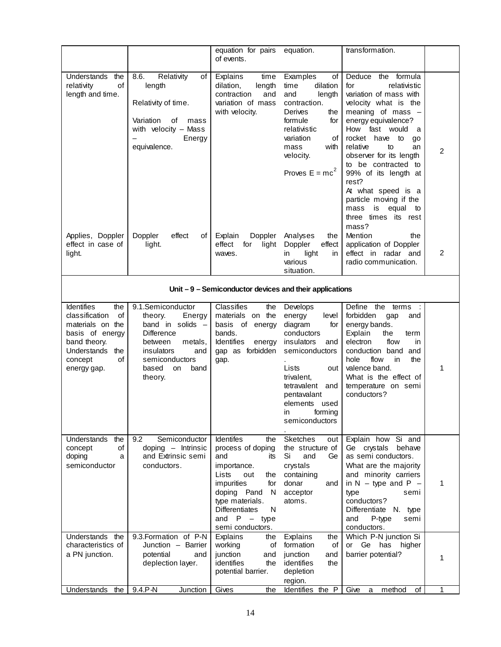|                                                                                                                                                               |                                                                                                                                                                                | equation for pairs<br>of events.                                                                                                                                                                                          | equation.                                                                                                                                                                                                                 | transformation.                                                                                                                                                                                                                                                                                                                                                                                                      |                |  |
|---------------------------------------------------------------------------------------------------------------------------------------------------------------|--------------------------------------------------------------------------------------------------------------------------------------------------------------------------------|---------------------------------------------------------------------------------------------------------------------------------------------------------------------------------------------------------------------------|---------------------------------------------------------------------------------------------------------------------------------------------------------------------------------------------------------------------------|----------------------------------------------------------------------------------------------------------------------------------------------------------------------------------------------------------------------------------------------------------------------------------------------------------------------------------------------------------------------------------------------------------------------|----------------|--|
| Understands the<br>of<br>relativity<br>length and time.                                                                                                       | 8.6.<br>Relativity<br>of<br>length<br>Relativity of time.<br>Variation<br>of<br>mass<br>with velocity $-$ Mass<br>Energy<br>equivalence.                                       | Explains<br>time<br>dilation,<br>length<br>contraction<br>and<br>variation of mass<br>with velocity.                                                                                                                      | Examples<br>οf<br>dilation<br>time<br>length<br>and<br>contraction.<br>Derives<br>the<br>formule<br>for<br>relativistic<br>variation<br>οf<br>mass<br>with<br>velocity.<br>Proves $E = mc^2$                              | the formula<br>Deduce<br>for<br>relativistic<br>variation of mass with<br>velocity what is the<br>meaning of mass $-$<br>energy equivalence?<br>How fast would<br>a<br>rocket have to<br>go<br>relative<br>to<br>an<br>observer for its length<br>to be contracted to<br>99% of its length at<br>rest?<br>At what speed is a<br>particle moving if the<br>is<br>equal<br>mass<br>to<br>three times its rest<br>mass? | $\overline{c}$ |  |
| Applies, Doppler<br>effect in case of<br>light.                                                                                                               | Doppler<br>effect<br>of<br>light.                                                                                                                                              | Explain<br>Doppler<br>effect<br>for<br>light<br>waves.                                                                                                                                                                    | Analyses<br>the<br>Doppler<br>effect<br>light<br>in<br>in.<br>various<br>situation.                                                                                                                                       | Mention<br>the<br>application of Doppler<br>effect in radar and<br>radio communication.                                                                                                                                                                                                                                                                                                                              | $\overline{c}$ |  |
|                                                                                                                                                               | Unit $-9$ – Semiconductor devices and their applications                                                                                                                       |                                                                                                                                                                                                                           |                                                                                                                                                                                                                           |                                                                                                                                                                                                                                                                                                                                                                                                                      |                |  |
| <b>Identifies</b><br>the<br>of<br>classification<br>materials on the<br>basis of energy<br>band theory.<br>Understands<br>the<br>of<br>concept<br>energy gap. | 9.1.Semiconductor<br>theory.<br>Energy<br>band in solids -<br><b>Difference</b><br>metals,<br>between<br>insulators<br>and<br>semiconductors<br>based<br>on<br>band<br>theory. | Classifies<br>the<br>on the<br>materials<br>basis of energy<br>bands.<br><b>Identifies</b><br>energy<br>gap as forbidden<br>gap.                                                                                          | Develops<br>energy<br>level<br>diagram<br>for<br>conductors<br>insulators<br>and<br>semiconductors<br>Lists<br>out<br>trivalent,<br>tetravalent<br>and<br>pentavalant<br>elements used<br>ın<br>torming<br>semiconductors | Define<br>the terms<br>forbidden<br>gap<br>and<br>energy bands.<br>Explain<br>the<br>term<br>flow<br>electron<br>in.<br>conduction band<br>and<br>flow<br>the<br>hole<br>in.<br>valence band.<br>What is the effect of<br>temperature on semi<br>conductors?                                                                                                                                                         | 1              |  |
| Understands<br>the<br>of<br>concept<br>doping<br>a<br>semiconductor                                                                                           | 9.2<br>Semiconductor<br>doping - Intrinsic<br>and Extrinsic semi<br>conductors.                                                                                                | Identifes<br>the<br>process of doping<br>and<br>its<br>importance.<br>Lists<br>out<br>the<br>impurities<br>for<br>N<br>doping Pand<br>type materials.<br><b>Differentiates</b><br>N<br>and $P - type$<br>semi conductors. | Sketches<br>out<br>the structure of<br>Si<br>and<br>Ge.<br>crystals<br>containing<br>donar<br>and<br>acceptor<br>atoms.                                                                                                   | Explain how<br>Si and<br>Ge crystals<br>behave<br>as semi conductors.<br>What are the majority<br>and minority carriers<br>in $N - type$ and $P -$<br>type<br>semi<br>conductors?<br>Differentiate N. type<br>P-type<br>and<br>semi<br>conductors.                                                                                                                                                                   | 1              |  |
| Understands the<br>characteristics of<br>a PN junction.                                                                                                       | 9.3. Formation of P-N<br>Junction - Barrier<br>potential<br>and<br>deplection layer.                                                                                           | Explains<br>the<br>working<br>οf<br>junction<br>and<br>identifies<br>the<br>potential barrier.                                                                                                                            | Explains<br>the<br>formation<br>οf<br>junction<br>and<br>identifies<br>the<br>depletion<br>region.                                                                                                                        | Which P-N junction Si<br>Ge has<br>higher<br>or<br>barrier potential?                                                                                                                                                                                                                                                                                                                                                | 1              |  |
| Understands<br>the                                                                                                                                            | 9.4.P-N<br>Junction                                                                                                                                                            | Gives<br>the                                                                                                                                                                                                              | Identifies the P                                                                                                                                                                                                          | method<br>Give<br>of<br>a                                                                                                                                                                                                                                                                                                                                                                                            | 1              |  |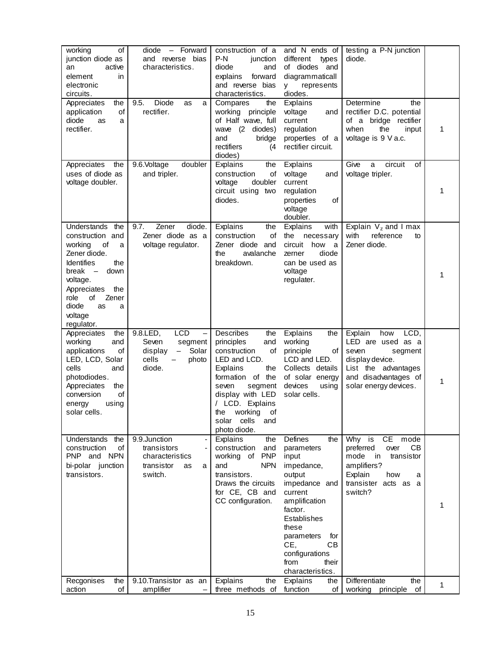| working<br>οf<br>junction diode as<br>active<br>an<br>element<br>in.<br>electronic<br>circuits.                                                                                                                                   | - Forward<br>diode<br>and reverse bias<br>characteristics.                                                      | construction of a<br>$P-N$<br>junction<br>diode<br>and<br>forward<br>explains<br>and reverse bias<br>characteristics.                                                                                                                          | and N ends of<br>different<br>types<br>of diodes<br>and<br>diagrammaticall<br>represents<br><b>V</b><br>diodes.                                                                                                                               | testing a P-N junction<br>diode.                                                                                                                               |   |
|-----------------------------------------------------------------------------------------------------------------------------------------------------------------------------------------------------------------------------------|-----------------------------------------------------------------------------------------------------------------|------------------------------------------------------------------------------------------------------------------------------------------------------------------------------------------------------------------------------------------------|-----------------------------------------------------------------------------------------------------------------------------------------------------------------------------------------------------------------------------------------------|----------------------------------------------------------------------------------------------------------------------------------------------------------------|---|
| Appreciates<br>the<br>of<br>application<br>diode<br>as<br>a<br>rectifier.                                                                                                                                                         | Diode<br>9.5.<br>as<br>a<br>rectifier.                                                                          | Compares<br>the<br>working principle<br>of Half wave, full<br>wave (2 diodes)<br>bridge<br>and<br>rectifiers<br>(4)<br>diodes)                                                                                                                 | Explains<br>voltage<br>and<br>current<br>regulation<br>properties of a<br>rectifier circuit.                                                                                                                                                  | Determine<br>the<br>rectifier D.C. potential<br>of a bridge rectifier<br>when<br>the<br>input<br>voltage is 9 V a.c.                                           | 1 |
| Appreciates<br>the<br>uses of diode as<br>voltage doubler.                                                                                                                                                                        | 9.6.Voltage<br>doubler<br>and tripler.                                                                          | the<br>Explains<br>construction<br>of<br>voltage<br>doubler<br>circuit using two<br>diodes.                                                                                                                                                    | Explains<br>voltage<br>and<br>current<br>regulation<br>properties<br>οf<br>voltage<br>doubler.                                                                                                                                                | Give<br>οf<br>a<br>circuit<br>voltage tripler.                                                                                                                 | 1 |
| Understands<br>the<br>construction and<br>working<br>οf<br>a<br>Zener diode.<br><b>Identifies</b><br>the<br>break -<br>down<br>voltage.<br>Appreciates<br>the<br>role<br>οf<br>Zener<br>diode<br>as<br>a<br>voltage<br>regulator. | Zener<br>diode.<br>9.7.<br>Zener diode as a<br>voltage regulator.                                               | Explains<br>the<br>construction<br>οf<br>Zener diode and<br>the<br>avalanche<br>breakdown.                                                                                                                                                     | Explains<br>with<br>the<br>necessary<br>circuit<br>how<br>a<br>diode<br>zerner<br>can be used as<br>voltage<br>regulater.                                                                                                                     | Explain $V_z$ and I max<br>with<br>reference<br>to<br>Zener diode.                                                                                             | 1 |
| Appreciates<br>the<br>working<br>and<br>applications<br>οf<br>LED, LCD, Solar<br>cells<br>and<br>photodiodes.<br>Appreciates<br>the<br>of<br>conversion<br>using<br>energy<br>solar cells.                                        | 9.8.LED,<br><b>LCD</b><br>Seven<br>segment<br>Solar<br>display<br>$\qquad \qquad -$<br>cells<br>photo<br>diode. | Describes<br>the<br>principles<br>and<br>construction<br>of<br>LED and LCD.<br>Explains<br>the<br>formation of the<br>seven<br>segment<br>display with LED<br>/ LCD. Explains<br>the<br>working<br>Οt<br>cells<br>solar<br>and<br>photo diode. | Explains<br>the<br>working<br>principle<br>οf<br>LCD and LED.<br>Collects details<br>of solar energy<br>devices<br>using<br>solar cells.                                                                                                      | Explain<br>how<br>LCD,<br>LED are used as a<br>seven<br>segment<br>display device.<br>List the advantages<br>and disadvantages of<br>solar energy devices.     | 1 |
| Understands the<br>construction<br>of<br>PNP and NPN<br>bi-polar junction<br>transistors.                                                                                                                                         | 9.9.Junction<br>$\blacksquare$<br>transistors<br>characteristics<br>transistor<br>as<br>a<br>switch.            | Explains<br>the<br>construction<br>and<br><b>PNP</b><br>working of<br>and<br><b>NPN</b><br>transistors.<br>Draws the circuits<br>for CE, CB and<br>CC configuration.                                                                           | Defines<br>the<br>parameters<br>input<br>impedance,<br>output<br>impedance and<br>current<br>amplification<br>factor.<br>Establishes<br>these<br>parameters<br>for<br><b>CB</b><br>CE.<br>configurations<br>from<br>their<br>characteristics. | Why is<br><b>CE</b><br>mode<br>CВ<br>preferred<br>over<br>mode<br>in<br>transistor<br>amplifiers?<br>Explain<br>how<br>a<br>transister acts as<br>a<br>switch? | 1 |
| the<br>Recgonises<br>action<br>of                                                                                                                                                                                                 | 9.10. Transistor as an<br>amplifier<br>$\qquad \qquad -$                                                        | Explains<br>the<br>three methods of                                                                                                                                                                                                            | Explains<br>the<br>function<br>оf                                                                                                                                                                                                             | Differentiate<br>the<br>working<br>principle<br>of                                                                                                             | 1 |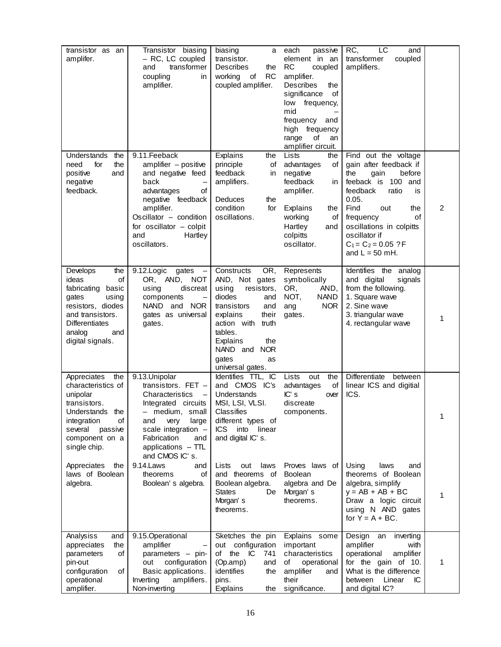| transistor as an<br>amplifer.                                                                                                                                                   | Transistor biasing<br>- RC, LC coupled<br>transformer<br>and<br>coupling<br>in<br>amplifier.                                                                                                                                  | biasing<br>a<br>transistor.<br><b>Describes</b><br>the<br>working<br>of<br><b>RC</b><br>coupled amplifier.                                                                                                                                | each<br>passive<br>element in an<br><b>RC</b><br>coupled<br>amplifier.<br>Describes<br>the<br>significance<br>οf<br>low<br>frequency,<br>mid<br>frequency<br>and<br>high frequency<br>of<br>range<br>an<br>amplifier circuit. | LC<br>RC,<br>and<br>coupled<br>transformer<br>amplifiers.                                                                                                                                                                                                                       |   |
|---------------------------------------------------------------------------------------------------------------------------------------------------------------------------------|-------------------------------------------------------------------------------------------------------------------------------------------------------------------------------------------------------------------------------|-------------------------------------------------------------------------------------------------------------------------------------------------------------------------------------------------------------------------------------------|-------------------------------------------------------------------------------------------------------------------------------------------------------------------------------------------------------------------------------|---------------------------------------------------------------------------------------------------------------------------------------------------------------------------------------------------------------------------------------------------------------------------------|---|
| the<br>Understands<br>the<br>need<br>for<br>positive<br>and<br>negative<br>feedback.                                                                                            | 9.11. Feeback<br>$amplifier - positive$<br>and negative feed<br>back<br>advantages<br>οf<br>negative feedback<br>amplifier.<br>Oscillator - condition<br>for oscillator $-$ colpit<br>and<br>Hartley<br>oscillators.          | Explains<br>the<br>principle<br>of<br>feedback<br>in<br>amplifiers.<br><b>Deduces</b><br>the<br>condition<br>for<br>oscillations.                                                                                                         | Lists<br>the<br>advantages<br>of<br>negative<br>feedback<br>in.<br>amplifier.<br>Explains<br>the<br>working<br>οf<br>Hartley<br>and<br>colpitts<br>oscillator.                                                                | Find out the voltage<br>gain after feedback if<br>the<br>before<br>gain<br>feeback is<br>100 and<br>feedback<br>ratio<br>is<br>0.05.<br>Find<br>out<br>the<br><b>of</b><br>frequency<br>oscillations in colpitts<br>oscillator if<br>$C_1 = C_2 = 0.05$ ? F<br>and $L = 50$ mH. | 2 |
| the<br>Develops<br>ideas<br>οf<br>fabricating<br>basic<br>using<br>gates<br>resistors, diodes<br>and transistors.<br><b>Differentiates</b><br>analog<br>and<br>digital signals. | 9.12.Logic<br>gates<br>OR, AND,<br>NOT<br>using<br>discreat<br>components<br>NAND and NOR<br>gates as universal<br>gates.                                                                                                     | Constructs<br>OR,<br>AND, Not gates<br>using<br>resistors,<br>diodes<br>and<br>transistors<br>and<br>explains<br>their<br>action with<br>truth<br>tables.<br>Explains<br>the<br>NAND and<br><b>NOR</b><br>aates<br>as<br>universal gates. | Represents<br>symbolically<br>OR,<br>AND,<br>NOT,<br><b>NAND</b><br><b>NOR</b><br>ang<br>gates.                                                                                                                               | Identifies the analog<br>and digital<br>signals<br>from the following.<br>1. Square wave<br>2. Sine wave<br>3. triangular wave<br>4. rectangular wave                                                                                                                           | 1 |
| the<br>Appreciates<br>characteristics of<br>unipolar<br>transistors.<br>Understands the<br>integration<br>of<br>several<br>passive<br>component on a<br>single chip.            | 9.13.Unipolar<br>transistors. FET $-$<br>Characteristics<br>Integrated circuits<br>medium, small<br>very<br>large<br>and<br>scale integration $-$<br>Fabrication<br>and<br>applications - TTL<br>and CMOS IC's.<br>9.14. Laws | Identifies TTL, IC<br>and CMOS IC's<br>Understands<br>MSI, LSI, VLSI.<br>Classifies<br>different types of<br><b>ICS</b><br>into<br>linear<br>and digital IC's.                                                                            | Lists<br>the<br>out<br>advantages<br>of<br>IC's<br>over<br>discreate<br>components.                                                                                                                                           | Differentiate<br>between<br>linear ICS and digitial<br>ICS.                                                                                                                                                                                                                     | 1 |
| Appreciates<br>the<br>laws of Boolean<br>algebra.                                                                                                                               | and<br>of<br>theorems<br>Boolean's algebra.                                                                                                                                                                                   | Lists<br>out<br>laws<br>and theorems of<br>Boolean algebra.<br><b>States</b><br>De<br>Morgan's<br>theorems.                                                                                                                               | Proves laws of<br>Boolean<br>algebra and De<br>Morgan's<br>theorems.                                                                                                                                                          | Using<br>laws<br>and<br>theorems of Boolean<br>algebra, simplify<br>$y = AB + AB + BC$<br>Draw a logic circuit<br>using N AND gates<br>for $Y = A + BC$ .                                                                                                                       | 1 |
| Analysiss<br>and<br>the<br>appreciates<br>parameters<br>of<br>pin-out<br>configuration<br>of<br>operational<br>amplifier.                                                       | 9.15.Operational<br>amplifier<br>parameters - pin-<br>configuration<br>out<br>Basic applications.<br>amplifiers.<br>Inverting<br>Non-inverting                                                                                | Sketches the pin<br>out configuration<br>the IC<br>of<br>741<br>and<br>(Op.amp)<br>identifies<br>the<br>pins.<br>Explains<br>the                                                                                                          | Explains some<br>important<br>characteristics<br>of<br>operational<br>amplifier<br>and<br>their<br>significance.                                                                                                              | Design<br>an<br>inverting<br>amplifier<br>with<br>amplifier<br>operational<br>for the gain of 10.<br>What is the difference<br>Linear<br>between<br>IС<br>and digital IC?                                                                                                       | 1 |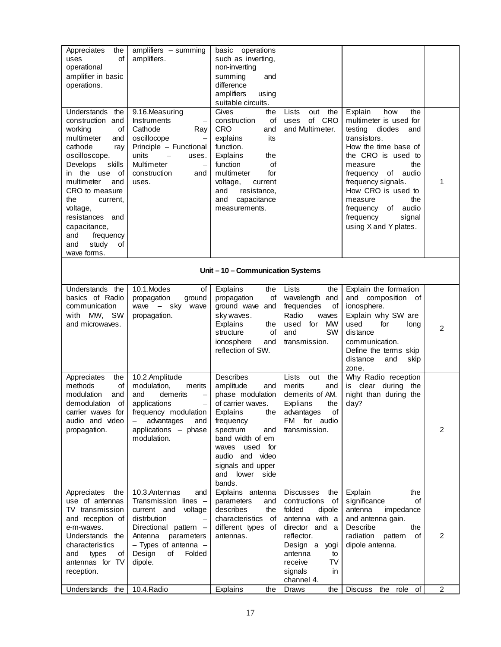| Appreciates<br>the<br>οf<br>uses<br>operational<br>amplifier in basic<br>operations.                                                                                                                                                                                                                                        | $amplifiers$ - summing<br>amplifiers.                                                                                                                                                                                          | basic operations<br>such as inverting,<br>non-inverting<br>summing<br>and<br>difference<br>amplifiers<br>using<br>suitable circuits.                                                                                                                 |                                                                                                                                                                                                          |                                                                                                                                                                                                                                                                                                                       |                |  |  |
|-----------------------------------------------------------------------------------------------------------------------------------------------------------------------------------------------------------------------------------------------------------------------------------------------------------------------------|--------------------------------------------------------------------------------------------------------------------------------------------------------------------------------------------------------------------------------|------------------------------------------------------------------------------------------------------------------------------------------------------------------------------------------------------------------------------------------------------|----------------------------------------------------------------------------------------------------------------------------------------------------------------------------------------------------------|-----------------------------------------------------------------------------------------------------------------------------------------------------------------------------------------------------------------------------------------------------------------------------------------------------------------------|----------------|--|--|
| Understands<br>the<br>construction and<br>working<br>οf<br>multimeter<br>and<br>cathode<br>ray<br>oscilloscope.<br>Develops<br>skills<br>in the use<br>οf<br>multimeter<br>and<br>CRO to measure<br>the<br>current,<br>voltage,<br>resistances and<br>capacitance,<br>frequency<br>and<br>study<br>and<br>οf<br>wave forms. | 9.16.Measuring<br>Instruments<br>$\qquad \qquad -$<br>Cathode<br>Ray<br>oscillocope<br>Principle - Functional<br>units<br>uses.<br>$\overline{\phantom{m}}$<br>Multimeter<br>$\qquad \qquad -$<br>construction<br>and<br>uses. | Gives<br>the<br>construction<br>оf<br><b>CRO</b><br>and<br>explains<br>its<br>function.<br>Explains<br>the<br>function<br>оf<br>multimeter<br>for<br>voltage,<br>current<br>and<br>resistance,<br>and<br>capacitance<br>measurements.                | the<br>Lists<br>out<br>of CRO<br>uses<br>and Multimeter.                                                                                                                                                 | Explain<br>how<br>the<br>multimeter is used for<br>diodes<br>and<br>testing<br>transistors.<br>How the time base of<br>the CRO is used to<br>the<br>measure<br>frequency of audio<br>frequency signals.<br>How CRO is used to<br>the<br>measure<br>frequency of audio<br>frequency<br>signal<br>using X and Y plates. | 1              |  |  |
|                                                                                                                                                                                                                                                                                                                             | Unit-10-Communication Systems                                                                                                                                                                                                  |                                                                                                                                                                                                                                                      |                                                                                                                                                                                                          |                                                                                                                                                                                                                                                                                                                       |                |  |  |
| Understands the<br>basics of Radio<br>communication<br>MW, SW<br>with<br>and microwaves.                                                                                                                                                                                                                                    | 10.1.Modes<br>of<br>propagation<br>ground<br>wave $-$ sky wave<br>propagation.                                                                                                                                                 | Explains<br>the<br>propagation<br>of<br>ground wave and<br>sky waves.<br>Explains<br>the<br>structure<br>of<br>ionosphere<br>and<br>reflection of SW.                                                                                                | Lists<br>the<br>wavelength and<br>frequencies<br>οf<br>Radio<br>waves<br>used<br>for MW<br><b>SW</b><br>and<br>transmission.                                                                             | Explain the formation<br>and composition of<br>ionosphere.<br>Explain why SW are<br>used<br>for<br>long<br>distance<br>communication.<br>Define the terms skip<br>distance<br>skip<br>and<br>zone.                                                                                                                    | $\overline{2}$ |  |  |
| Appreciates<br>the<br>methods<br>οf<br>modulation<br>and<br>demodulation<br>of<br>carrier waves for<br>audio and video<br>propagation.                                                                                                                                                                                      | 10.2.Amplitude<br>modulation,<br>merits<br>demerits<br>and<br>$\qquad \qquad -$<br>applications<br>$\qquad \qquad -$<br>frequency modulation<br>advantages<br>$\qquad \qquad -$<br>and<br>applications - phase<br>modulation.  | Describes<br>amplitude<br>and<br>phase modulation<br>of carrier waves.<br>Explains the advantages<br>frequency<br>spectrum<br>and<br>band width of em<br>used<br>for<br>waves<br>audio and video<br>signals and upper<br>and lower<br>side<br>bands. | Lists<br>out<br>the<br>merits<br>and<br>demerits of AM.<br>Explians<br>the<br>$\circ$ of<br>FM for audio<br>transmission.                                                                                | Why Radio reception<br>is clear during the<br>night than during the<br>day?                                                                                                                                                                                                                                           | 2              |  |  |
| Appreciates<br>the<br>use of antennas<br>TV transmission<br>and reception of<br>e-m-waves.<br>Understands the<br>characteristics<br>and<br>types<br>οf<br>antennas for TV<br>reception.                                                                                                                                     | 10.3.Antennas<br>and<br>Transmission lines -<br>current and voltage<br>distrbution<br>Directional pattern -<br>Antenna<br>parameters<br>$-$ Types of antenna $-$<br>Design<br>οf<br>Folded<br>dipole.                          | Explains antenna<br>parameters<br>and<br>describes<br>the<br>characteristics<br>of<br>different types of<br>antennas.                                                                                                                                | <b>Discusses</b><br>the<br>contructions<br>of<br>folded<br>dipole<br>antenna with a<br>director and a<br>reflector.<br>Design a<br>yogi<br>antenna<br>to<br>receive<br>TV<br>signals<br>in<br>channel 4. | Explain<br>the<br>significance<br>of<br>impedance<br>antenna<br>and antenna gain.<br>Describe<br>the<br>radiation<br>pattern<br>οf<br>dipole antenna.                                                                                                                                                                 | 2              |  |  |
| Understands<br>the                                                                                                                                                                                                                                                                                                          | 10.4. Radio                                                                                                                                                                                                                    | Explains<br>the                                                                                                                                                                                                                                      | Draws<br>the                                                                                                                                                                                             | <b>Discuss</b><br>role<br>of<br>the                                                                                                                                                                                                                                                                                   | 2              |  |  |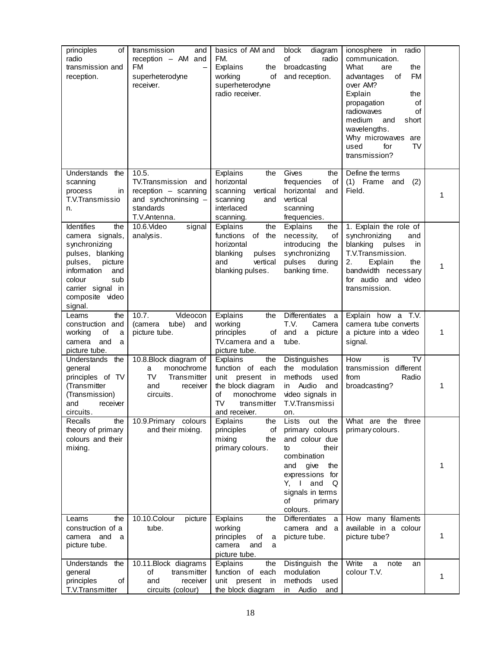| principles<br>οf<br>radio<br>transmission and<br>reception.                                                                                                                                      | transmission<br>and<br>reception $-$ AM and<br>FM<br>—<br>superheterodyne<br>receiver.                    | basics of AM and<br>FM.<br>Explains<br>the<br>working<br>of<br>superheterodyne<br>radio receiver.                                           | diagram<br>block<br>of<br>radio<br>broadcasting<br>and reception.                                                                                                                                       | ionosphere<br>radio<br>in<br>communication.<br>What<br>the<br>are<br><b>FM</b><br>οf<br>advantages<br>over AM?<br>Explain<br>the<br>propagation<br>of<br>radiowaves<br>of<br>medium<br>short<br>and<br>wavelengths.<br>Why microwaves<br>are<br>TV<br>used<br>for<br>transmission? |   |
|--------------------------------------------------------------------------------------------------------------------------------------------------------------------------------------------------|-----------------------------------------------------------------------------------------------------------|---------------------------------------------------------------------------------------------------------------------------------------------|---------------------------------------------------------------------------------------------------------------------------------------------------------------------------------------------------------|------------------------------------------------------------------------------------------------------------------------------------------------------------------------------------------------------------------------------------------------------------------------------------|---|
| Understands<br>the<br>scanning<br>process<br>in<br>T.V.Transmissio<br>n.                                                                                                                         | 10.5.<br>TV.Transmission and<br>reception - scanning<br>and synchroninsing -<br>standards<br>T.V.Antenna. | Explains<br>the<br>horizontal<br>scanning<br>vertical<br>scanning<br>and<br>interlaced<br>scanning.                                         | Gives<br>the<br>frequencies<br>οf<br>horizontal<br>and<br>vertical<br>scanning<br>frequencies.                                                                                                          | Define the terms<br>$(1)$ Frame<br>(2)<br>and<br>Field.                                                                                                                                                                                                                            | 1 |
| <b>Identifies</b><br>the<br>camera signals,<br>synchronizing<br>pulses, blanking<br>pulses,<br>picture<br>information<br>and<br>colour<br>sub<br>carrier signal in<br>composite video<br>signal. | 10.6.Video<br>signal<br>analysis.                                                                         | Explains<br>the<br>functions<br>of the<br>horizontal<br>blanking<br>pulses<br>vertical<br>and<br>blanking pulses.                           | Explains<br>the<br>necessity,<br>of<br>introducing<br>the<br>synchronizing<br>pulses<br>during<br>banking time.                                                                                         | 1. Explain the role of<br>synchronizing<br>and<br>blanking<br>pulses<br>in<br>T.V.Transmission.<br>2.<br>Explain<br>the<br>bandwidth necessary<br>for audio and video<br>transmission.                                                                                             | 1 |
| the<br>Learns<br>construction and<br>of<br>working<br>a<br>and<br>camera<br>a<br>picture tube.                                                                                                   | Videocon<br>10.7.<br>(camera<br>tube)<br>and<br>picture tube.                                             | Explains<br>the<br>working<br>principles<br>of<br>TV.camera and a<br>picture tube.                                                          | <b>Differentiates</b><br>a<br>T.V.<br>Camera<br>and<br>a picture<br>tube.                                                                                                                               | Explain how a T.V.<br>camera tube converts<br>a picture into a video<br>signal.                                                                                                                                                                                                    | 1 |
| Understands the<br>general<br>principles of TV<br>(Transmitter<br>(Transmission)<br>and<br>receiver<br>circuits.                                                                                 | 10.8. Block diagram of<br>monochrome<br>а<br>TV<br>Transmitter<br>and<br>receiver<br>circuits.            | Explains<br>the<br>function of each<br>unit<br>present<br>in<br>the block diagram<br>of<br>monochrome<br>TV<br>transmitter<br>and receiver. | Distinguishes<br>the modulation<br>methods<br>used<br>Audio<br>and<br>in<br>video signals in<br>T.V.Transmissi<br>on.                                                                                   | How<br>TV<br>is<br>different<br>transmission<br>Radio<br>from<br>broadcasting?                                                                                                                                                                                                     | 1 |
| Recalls<br>the<br>theory of primary<br>colours and their<br>mixing.                                                                                                                              | 10.9. Primary colours<br>and their mixing.                                                                | Explains<br>the<br>principles<br>of<br>mixing<br>the<br>primary colours.                                                                    | Lists<br>out<br>the<br>primary colours<br>and colour due<br>their<br>to<br>combination<br>and<br>give<br>the<br>expressions for<br>$Y - I$<br>and<br>Q<br>signals in terms<br>of<br>primary<br>colours. | What are the three<br>primary colours.                                                                                                                                                                                                                                             | 1 |
| the<br>Learns<br>construction of a<br>camera and<br>a<br>picture tube.                                                                                                                           | 10.10.Colour<br>picture<br>tube.                                                                          | Explains<br>the<br>working<br>principles<br>of<br>a<br>camera<br>and<br>a<br>picture tube.                                                  | <b>Differentiates</b><br>a<br>camera and<br>a<br>picture tube.                                                                                                                                          | How many filaments<br>available in a colour<br>picture tube?                                                                                                                                                                                                                       | 1 |
| Understands the<br>general<br>principles<br>of<br>T.V.Transmitter                                                                                                                                | 10.11. Block diagrams<br>of<br>transmitter<br>and<br>receiver<br>circuits (colour)                        | Explains<br>the<br>function of each<br>present in<br>unit<br>the block diagram                                                              | Distinguish<br>the<br>modulation<br>methods<br>used<br>in Audio<br>and                                                                                                                                  | Write<br>a<br>note<br>an<br>colour T.V.                                                                                                                                                                                                                                            | 1 |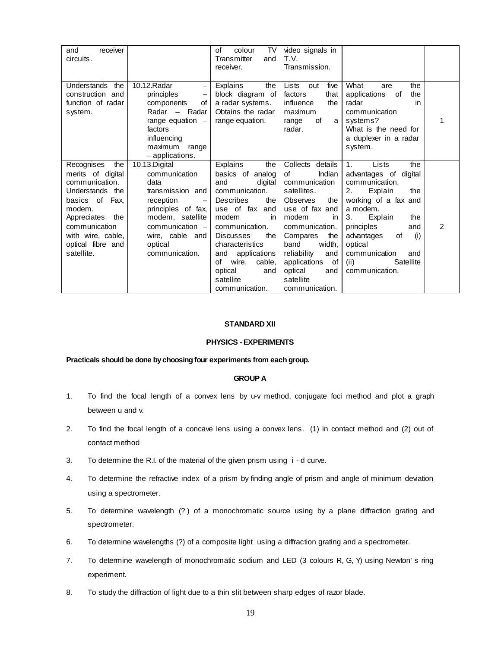| receiver<br>and<br>circuits.                                                                                                                                                                        |                                                                                                                                                                                                            | colour<br>TV<br>of<br>Transmitter<br>and<br>receiver.                                                                                                                                                                                                                                   | video signals in<br>T.V.<br>Transmission.                                                                                                                                                                                                                                     |                                                                                                                                                                                                                                                                             |   |
|-----------------------------------------------------------------------------------------------------------------------------------------------------------------------------------------------------|------------------------------------------------------------------------------------------------------------------------------------------------------------------------------------------------------------|-----------------------------------------------------------------------------------------------------------------------------------------------------------------------------------------------------------------------------------------------------------------------------------------|-------------------------------------------------------------------------------------------------------------------------------------------------------------------------------------------------------------------------------------------------------------------------------|-----------------------------------------------------------------------------------------------------------------------------------------------------------------------------------------------------------------------------------------------------------------------------|---|
| <b>Understands</b><br>the<br>construction and<br>function of radar<br>system.                                                                                                                       | 10.12. Radar<br>$\overline{\phantom{0}}$<br>principles<br>$\qquad \qquad -$<br>components<br>of<br>Radar<br>- Radar<br>range equation $-$<br>factors<br>influencing<br>maximum<br>range<br>- applications. | the<br>Explains<br>block diagram of<br>a radar systems.<br>Obtains the radar<br>range equation.                                                                                                                                                                                         | five<br>Lists<br>out<br>factors<br>that<br>influence<br>the<br>maximum<br>of<br>range<br>a l<br>radar.                                                                                                                                                                        | What<br>the<br>are<br>the<br>applications<br>of<br>radar<br>in<br>communication<br>systems?<br>What is the need for<br>a duplexer in a radar<br>system.                                                                                                                     | 1 |
| Recognises<br>the<br>merits of digital<br>communication.<br>Understands the<br>basics of Fax,<br>modem.<br>Appreciates the<br>communication<br>with wire, cable,<br>optical fibre and<br>satellite. | 10.13.Digital<br>communication<br>data<br>transmission and<br>reception<br>principles of fax,<br>modem, satellite<br>communication $-$<br>wire, cable and<br>optical<br>communication.                     | Explains<br>the<br>basics of analog<br>and<br>digital<br>communication.<br>Describes<br>the<br>use of fax and<br>modem<br>in<br>communication.<br><b>Discusses</b><br>the<br>characteristics<br>and applications<br>cable,<br>of wire,<br>optical<br>and<br>satellite<br>communication. | Collects<br>details<br>of<br>Indian<br>communication<br>satellites.<br>Observes<br>the<br>use of fax and<br>modem<br>in<br>communication.<br>Compares<br>the<br>band<br>width,<br>reliability<br>and<br>applications<br>of l<br>optical<br>and<br>satellite<br>communication. | Lists<br>the<br>1.<br>advantages of digital<br>communication.<br>2.<br>the<br>Explain<br>working of a fax and<br>a modem.<br>3.<br>Explain<br>the<br>and<br>principles<br>advantages<br>(i)<br>of<br>optical<br>communication<br>and<br>Satellite<br>(ii)<br>communication. | 2 |

#### **STANDARD XII**

## **PHYSICS - EXPERIMENTS**

#### **Practicals should be done by choosing four experiments from each group.**

## **GROUP A**

- 1. To find the focal length of a convex lens by u-v method, conjugate foci method and plot a graph between u and v.
- 2. To find the focal length of a concave lens using a convex lens. (1) in contact method and (2) out of contact method
- 3. To determine the R.I. of the material of the given prism using i d curve.
- 4. To determine the refractive index of a prism by finding angle of prism and angle of minimum deviation using a spectrometer.
- 5. To determine wavelength (? ) of a monochromatic source using by a plane diffraction grating and spectrometer.
- 6. To determine wavelengths (?) of a composite light using a diffraction grating and a spectrometer.
- 7. To determine wavelength of monochromatic sodium and LED (3 colours R, G, Y) using Newton's ring experiment.
- 8. To study the diffraction of light due to a thin slit between sharp edges of razor blade.